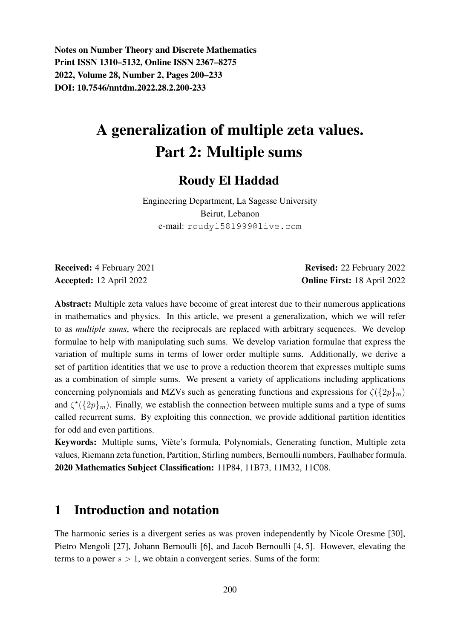Notes on Number Theory and Discrete Mathematics Print ISSN 1310–5132, Online ISSN 2367–8275 2022, Volume 28, Number 2, Pages 200–233 DOI: 10.7546/nntdm.2022.28.2.200-233

# A generalization of multiple zeta values. Part 2: Multiple sums

### Roudy El Haddad

Engineering Department, La Sagesse University Beirut, Lebanon e-mail: roudy1581999@live.com

Received: 4 February 2021 **Revised: 22 February 2022** Accepted: 12 April 2022 Online First: 18 April 2022

Abstract: Multiple zeta values have become of great interest due to their numerous applications in mathematics and physics. In this article, we present a generalization, which we will refer to as *multiple sums*, where the reciprocals are replaced with arbitrary sequences. We develop formulae to help with manipulating such sums. We develop variation formulae that express the variation of multiple sums in terms of lower order multiple sums. Additionally, we derive a set of partition identities that we use to prove a reduction theorem that expresses multiple sums as a combination of simple sums. We present a variety of applications including applications concerning polynomials and MZVs such as generating functions and expressions for  $\zeta({2p}_{m})$ and  $\zeta^*(\{2p\}_m)$ . Finally, we establish the connection between multiple sums and a type of sums called recurrent sums. By exploiting this connection, we provide additional partition identities for odd and even partitions.

Keywords: Multiple sums, Viete's formula, Polynomials, Generating function, Multiple zeta ` values, Riemann zeta function, Partition, Stirling numbers, Bernoulli numbers, Faulhaber formula. 2020 Mathematics Subject Classification: 11P84, 11B73, 11M32, 11C08.

## 1 Introduction and notation

The harmonic series is a divergent series as was proven independently by Nicole Oresme [30], Pietro Mengoli [27], Johann Bernoulli [6], and Jacob Bernoulli [4, 5]. However, elevating the terms to a power  $s > 1$ , we obtain a convergent series. Sums of the form: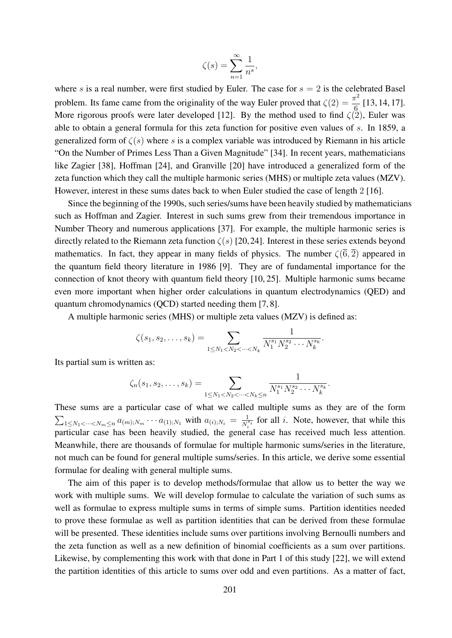$$
\zeta(s) = \sum_{n=1}^{\infty} \frac{1}{n^s},
$$

where s is a real number, were first studied by Euler. The case for  $s = 2$  is the celebrated Basel problem. Its fame came from the originality of the way Euler proved that  $\zeta(2) = \frac{\pi^2}{c}$  $\frac{1}{6}$  [13, 14, 17]. More rigorous proofs were later developed [12]. By the method used to find  $\zeta(2)$ , Euler was able to obtain a general formula for this zeta function for positive even values of s. In 1859, a generalized form of  $\zeta(s)$  where s is a complex variable was introduced by Riemann in his article "On the Number of Primes Less Than a Given Magnitude" [34]. In recent years, mathematicians like Zagier [38], Hoffman [24], and Granville [20] have introduced a generalized form of the zeta function which they call the multiple harmonic series (MHS) or multiple zeta values (MZV). However, interest in these sums dates back to when Euler studied the case of length 2 [16].

Since the beginning of the 1990s, such series/sums have been heavily studied by mathematicians such as Hoffman and Zagier. Interest in such sums grew from their tremendous importance in Number Theory and numerous applications [37]. For example, the multiple harmonic series is directly related to the Riemann zeta function  $\zeta(s)$  [20,24]. Interest in these series extends beyond mathematics. In fact, they appear in many fields of physics. The number  $\zeta(\bar{6}, \bar{2})$  appeared in the quantum field theory literature in 1986 [9]. They are of fundamental importance for the connection of knot theory with quantum field theory [10, 25]. Multiple harmonic sums became even more important when higher order calculations in quantum electrodynamics (QED) and quantum chromodynamics (QCD) started needing them [7, 8].

A multiple harmonic series (MHS) or multiple zeta values (MZV) is defined as:

$$
\zeta(s_1, s_2, \ldots, s_k) = \sum_{1 \leq N_1 < N_2 < \cdots < N_k} \frac{1}{N_1^{s_1} N_2^{s_2} \cdots N_k^{s_k}}.
$$

Its partial sum is written as:

$$
\zeta_n(s_1, s_2, \dots, s_k) = \sum_{1 \leq N_1 < N_2 < \dots < N_k \leq n} \frac{1}{N_1^{s_1} N_2^{s_2} \cdots N_k^{s_k}}.
$$

These sums are a particular case of what we called multiple sums as they are of the form  $\sum_{1 \leq N_1 < \cdots < N_m \leq n} a_{(m);N_m} \cdots a_{(1);N_1}$  with  $a_{(i);N_i} = \frac{1}{N_i^i}$  $\frac{1}{N_i^{s_i}}$  for all *i*. Note, however, that while this particular case has been heavily studied, the general case has received much less attention. Meanwhile, there are thousands of formulae for multiple harmonic sums/series in the literature, not much can be found for general multiple sums/series. In this article, we derive some essential formulae for dealing with general multiple sums.

The aim of this paper is to develop methods/formulae that allow us to better the way we work with multiple sums. We will develop formulae to calculate the variation of such sums as well as formulae to express multiple sums in terms of simple sums. Partition identities needed to prove these formulae as well as partition identities that can be derived from these formulae will be presented. These identities include sums over partitions involving Bernoulli numbers and the zeta function as well as a new definition of binomial coefficients as a sum over partitions. Likewise, by complementing this work with that done in Part 1 of this study [22], we will extend the partition identities of this article to sums over odd and even partitions. As a matter of fact,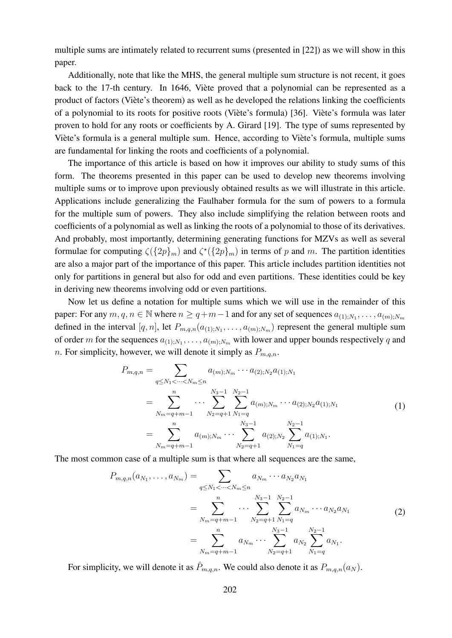multiple sums are intimately related to recurrent sums (presented in [22]) as we will show in this paper.

Additionally, note that like the MHS, the general multiple sum structure is not recent, it goes back to the 17-th century. In 1646, Viète proved that a polynomial can be represented as a product of factors (Viete's theorem) as well as he developed the relations linking the coefficients ` of a polynomial to its roots for positive roots (Viète's formula) [36]. Viète's formula was later proven to hold for any roots or coefficients by A. Girard [19]. The type of sums represented by Viète's formula is a general multiple sum. Hence, according to Viète's formula, multiple sums are fundamental for linking the roots and coefficients of a polynomial.

The importance of this article is based on how it improves our ability to study sums of this form. The theorems presented in this paper can be used to develop new theorems involving multiple sums or to improve upon previously obtained results as we will illustrate in this article. Applications include generalizing the Faulhaber formula for the sum of powers to a formula for the multiple sum of powers. They also include simplifying the relation between roots and coefficients of a polynomial as well as linking the roots of a polynomial to those of its derivatives. And probably, most importantly, determining generating functions for MZVs as well as several formulae for computing  $\zeta({2p}_m)$  and  $\zeta^*({2p}_m)$  in terms of p and m. The partition identities are also a major part of the importance of this paper. This article includes partition identities not only for partitions in general but also for odd and even partitions. These identities could be key in deriving new theorems involving odd or even partitions.

Now let us define a notation for multiple sums which we will use in the remainder of this paper: For any  $m, q, n \in \mathbb{N}$  where  $n \ge q+m-1$  and for any set of sequences  $a_{(1),N_1}, \ldots, a_{(m);N_m}$ defined in the interval  $[q, n]$ , let  $P_{m,q,n}(a_{(1),N_1}, \ldots, a_{(m);N_m})$  represent the general multiple sum of order m for the sequences  $a_{(1),N_1}, \ldots, a_{(m),N_m}$  with lower and upper bounds respectively q and n. For simplicity, however, we will denote it simply as  $P_{m,q,n}$ .

$$
P_{m,q,n} = \sum_{q \le N_1 < \dots < N_m \le n} a_{(m);N_m} \cdots a_{(2);N_2} a_{(1);N_1}
$$
\n
$$
= \sum_{N_m = q+m-1}^{n} \dots \sum_{N_2 = q+1}^{N_3-1} \sum_{N_1 = q}^{N_2-1} a_{(m);N_m} \cdots a_{(2);N_2} a_{(1);N_1}
$$
\n
$$
= \sum_{N_m = q+m-1}^{n} a_{(m);N_m} \cdots \sum_{N_2 = q+1}^{N_3-1} a_{(2);N_2} \sum_{N_1 = q}^{N_2-1} a_{(1);N_1}.
$$
\n(1)

The most common case of a multiple sum is that where all sequences are the same,

$$
P_{m,q,n}(a_{N_1},\ldots,a_{N_m}) = \sum_{q \le N_1 < \cdots < N_m \le n} a_{N_m} \cdots a_{N_2} a_{N_1}
$$
\n
$$
= \sum_{N_m = q+m-1}^{n} \cdots \sum_{N_2=q+1}^{N_3-1} \sum_{N_1=q}^{N_2-1} a_{N_m} \cdots a_{N_2} a_{N_1}
$$
\n
$$
= \sum_{N_m = q+m-1}^{n} a_{N_m} \cdots \sum_{N_2=q+1}^{N_3-1} a_{N_2} \sum_{N_1=q}^{N_2-1} a_{N_1}.
$$
\n(2)

For simplicity, we will denote it as  $\hat{P}_{m,q,n}$ . We could also denote it as  $P_{m,q,n}(a_N)$ .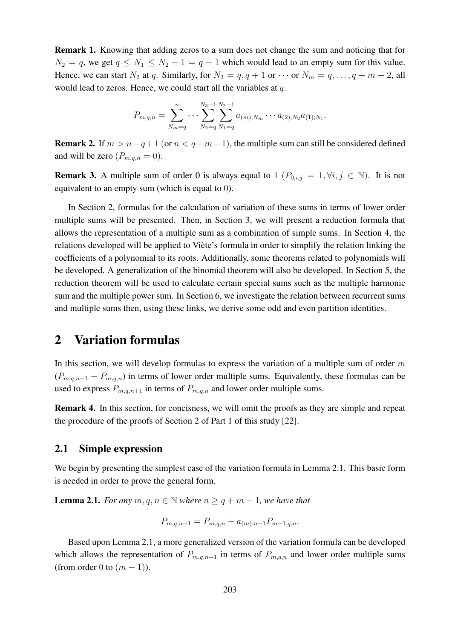Remark 1. Knowing that adding zeros to a sum does not change the sum and noticing that for  $N_2 = q$ , we get  $q \leq N_1 \leq N_2 - 1 = q - 1$  which would lead to an empty sum for this value. Hence, we can start  $N_2$  at q. Similarly, for  $N_3 = q, q + 1$  or  $\cdots$  or  $N_m = q, \ldots, q + m - 2$ , all would lead to zeros. Hence, we could start all the variables at q.

$$
P_{m,q,n} = \sum_{N_m=q}^{n} \cdots \sum_{N_2=q}^{N_3-1} \sum_{N_1=q}^{N_2-1} a_{(m);N_m} \cdots a_{(2);N_2} a_{(1);N_1}.
$$

**Remark 2.** If  $m > n - q + 1$  (or  $n < q + m - 1$ ), the multiple sum can still be considered defined and will be zero  $(P_{m,q,n} = 0)$ .

**Remark 3.** A multiple sum of order 0 is always equal to 1  $(P_{0,i,j} = 1, \forall i, j \in \mathbb{N})$ . It is not equivalent to an empty sum (which is equal to 0).

In Section 2, formulas for the calculation of variation of these sums in terms of lower order multiple sums will be presented. Then, in Section 3, we will present a reduction formula that allows the representation of a multiple sum as a combination of simple sums. In Section 4, the relations developed will be applied to Viète's formula in order to simplify the relation linking the coefficients of a polynomial to its roots. Additionally, some theorems related to polynomials will be developed. A generalization of the binomial theorem will also be developed. In Section 5, the reduction theorem will be used to calculate certain special sums such as the multiple harmonic sum and the multiple power sum. In Section 6, we investigate the relation between recurrent sums and multiple sums then, using these links, we derive some odd and even partition identities.

### 2 Variation formulas

In this section, we will develop formulas to express the variation of a multiple sum of order  $m$  $(P_{m,q,n+1} - P_{m,q,n})$  in terms of lower order multiple sums. Equivalently, these formulas can be used to express  $P_{m,q,n+1}$  in terms of  $P_{m,q,n}$  and lower order multiple sums.

Remark 4. In this section, for concisness, we will omit the proofs as they are simple and repeat the procedure of the proofs of Section 2 of Part 1 of this study [22].

#### 2.1 Simple expression

We begin by presenting the simplest case of the variation formula in Lemma 2.1. This basic form is needed in order to prove the general form.

**Lemma 2.1.** *For any*  $m, q, n \in \mathbb{N}$  *where*  $n \geq q + m - 1$ *, we have that* 

$$
P_{m,q,n+1} = P_{m,q,n} + a_{(m);n+1} P_{m-1,q,n}.
$$

Based upon Lemma 2.1, a more generalized version of the variation formula can be developed which allows the representation of  $P_{m,q,n+1}$  in terms of  $P_{m,q,n}$  and lower order multiple sums (from order 0 to  $(m-1)$ ).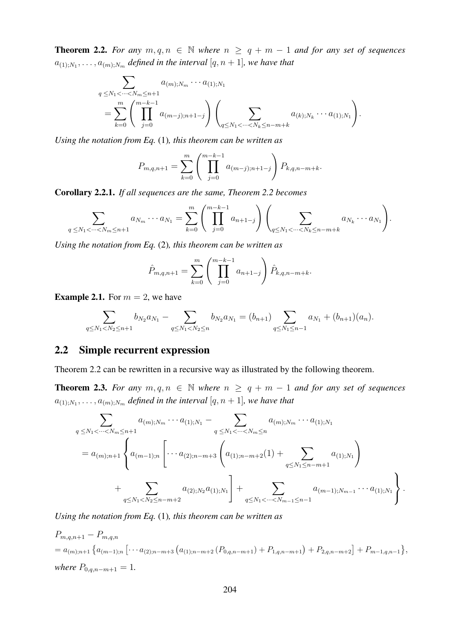**Theorem 2.2.** For any  $m, q, n \in \mathbb{N}$  where  $n \geq q + m - 1$  and for any set of sequences  $a_{(1);N_1}, \ldots, a_{(m);N_m}$  defined in the interval  $[q, n+1]$ , we have that

$$
\sum_{q \leq N_1 < \cdots < N_m \leq n+1} a_{(m);N_m} \cdots a_{(1);N_1} \\
= \sum_{k=0}^m \left( \prod_{j=0}^{m-k-1} a_{(m-j);n+1-j} \right) \left( \sum_{q \leq N_1 < \cdots < N_k \leq n-m+k} a_{(k);N_k} \cdots a_{(1);N_1} \right).
$$

*Using the notation from Eq.* (1)*, this theorem can be written as*

$$
P_{m,q,n+1} = \sum_{k=0}^{m} \left( \prod_{j=0}^{m-k-1} a_{(m-j);n+1-j} \right) P_{k,q,n-m+k}.
$$

Corollary 2.2.1. *If all sequences are the same, Theorem 2.2 becomes*

$$
\sum_{q \leq N_1 < \dots < N_m \leq n+1} a_{N_m} \dots a_{N_1} = \sum_{k=0}^m \left( \prod_{j=0}^{m-k-1} a_{n+1-j} \right) \left( \sum_{q \leq N_1 < \dots < N_k \leq n-m+k} a_{N_k} \dots a_{N_1} \right).
$$

*Using the notation from Eq.* (2)*, this theorem can be written as*

$$
\hat{P}_{m,q,n+1} = \sum_{k=0}^{m} \left( \prod_{j=0}^{m-k-1} a_{n+1-j} \right) \hat{P}_{k,q,n-m+k}.
$$

**Example 2.1.** For  $m = 2$ , we have

$$
\sum_{q\leq N_1
$$

### 2.2 Simple recurrent expression

Theorem 2.2 can be rewritten in a recursive way as illustrated by the following theorem.

**Theorem 2.3.** For any  $m, q, n \in \mathbb{N}$  where  $n \geq q + m - 1$  and for any set of sequences  $a_{(1);N_1},\ldots,a_{(m);N_m}$  defined in the interval  $[q,n+1]$ , we have that

$$
\sum_{q \leq N_1 < \dots < N_m \leq n+1} a_{(m);N_m} \cdots a_{(1);N_1} - \sum_{q \leq N_1 < \dots < N_m \leq n} a_{(m);N_m} \cdots a_{(1);N_1}
$$
\n
$$
= a_{(m);n+1} \left\{ a_{(m-1);n} \left[ \dots a_{(2);n-m+3} \left( a_{(1);n-m+2}(1) + \sum_{q \leq N_1 \leq n-m+1} a_{(1);N_1} \right) + \sum_{q \leq N_1 < N_2 \leq n-m+2} a_{(2);N_2} a_{(1);N_1} \right] + \sum_{q \leq N_1 < \dots < N_{m-1} \leq n-1} a_{(m-1);N_{m-1}} \cdots a_{(1);N_1} \right\}.
$$

*Using the notation from Eq.* (1)*, this theorem can be written as*

$$
P_{m,q,n+1} - P_{m,q,n}
$$
  
=  $a_{(m);n+1} \{ a_{(m-1);n} \left[ \cdots a_{(2);n-m+3} \left( a_{(1);n-m+2} \left( P_{0,q,n-m+1} \right) + P_{1,q,n-m+1} \right) + P_{2,q,n-m+2} \right] + P_{m-1,q,n-1} \},$   
where  $P_{0,q,n-m+1} = 1$ .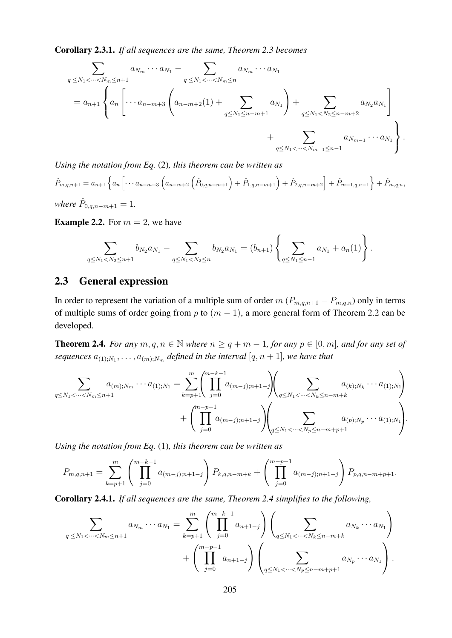Corollary 2.3.1. *If all sequences are the same, Theorem 2.3 becomes*

$$
\sum_{q \leq N_1 < \dots < N_m \leq n+1} a_{N_m} \cdots a_{N_1} - \sum_{q \leq N_1 < \dots < N_m \leq n} a_{N_m} \cdots a_{N_1}
$$
\n
$$
= a_{n+1} \left\{ a_n \left[ \dots a_{n-m+3} \left( a_{n-m+2} (1) + \sum_{q \leq N_1 \leq n-m+1} a_{N_1} \right) + \sum_{q \leq N_1 < N_2 \leq n-m+2} a_{N_2} a_{N_1} \right] + \sum_{q \leq N_1 < \dots < N_{m-1} \leq n-1} a_{N_{m-1}} \cdots a_{N_1} \right\}.
$$

*Using the notation from Eq.* (2)*, this theorem can be written as*

$$
\hat{P}_{m,q,n+1} = a_{n+1} \left\{ a_n \left[ \cdots a_{n-m+3} \left( a_{n-m+2} \left( \hat{P}_{0,q,n-m+1} \right) + \hat{P}_{1,q,n-m+1} \right) + \hat{P}_{2,q,n-m+2} \right] + \hat{P}_{m-1,q,n-1} \right\} + \hat{P}_{m,q,n},
$$
\nwhere

\n
$$
\hat{P}_{0,q,n-m+1} = 1.
$$

**Example 2.2.** For  $m = 2$ , we have

$$
\sum_{q \le N_1 < N_2 \le n+1} b_{N_2} a_{N_1} - \sum_{q \le N_1 < N_2 \le n} b_{N_2} a_{N_1} = (b_{n+1}) \left\{ \sum_{q \le N_1 \le n-1} a_{N_1} + a_n(1) \right\}.
$$

### 2.3 General expression

In order to represent the variation of a multiple sum of order  $m (P_{m,q,n+1} - P_{m,q,n})$  only in terms of multiple sums of order going from p to  $(m - 1)$ , a more general form of Theorem 2.2 can be developed.

**Theorem 2.4.** *For any*  $m, q, n \in \mathbb{N}$  *where*  $n \geq q + m - 1$ *, for any*  $p \in [0, m]$ *, and for any set of* sequences  $a_{(1);N_1}, \ldots, a_{(m);N_m}$  defined in the interval  $[q, n + 1]$ , we have that

$$
\sum_{q \le N_1 < \dots < N_m \le n+1} a_{(m);N_m} \dots a_{(1);N_1} = \sum_{k=p+1}^m \left( \prod_{j=0}^{m-k-1} a_{(m-j);n+1-j} \right) \left( \sum_{q \le N_1 < \dots < N_k \le n-m+k} a_{(k);N_k} \dots a_{(1);N_1} \right) + \left( \prod_{j=0}^{m-p-1} a_{(m-j);n+1-j} \right) \left( \sum_{q \le N_1 < \dots < N_p \le n-m+p+1} a_{(p);N_p} \dots a_{(1);N_1} \right).
$$

*Using the notation from Eq.* (1)*, this theorem can be written as*

$$
P_{m,q,n+1} = \sum_{k=p+1}^{m} \left( \prod_{j=0}^{m-k-1} a_{(m-j);n+1-j} \right) P_{k,q,n-m+k} + \left( \prod_{j=0}^{m-p-1} a_{(m-j);n+1-j} \right) P_{p,q,n-m+p+1}.
$$

Corollary 2.4.1. *If all sequences are the same, Theorem 2.4 simplifies to the following,*

$$
\sum_{q \leq N_1 < \dots < N_m \leq n+1} a_{N_m} \dots a_{N_1} = \sum_{k=p+1}^m \left( \prod_{j=0}^{m-k-1} a_{n+1-j} \right) \left( \sum_{q \leq N_1 < \dots < N_k \leq n-m+k} a_{N_k} \dots a_{N_1} \right) + \left( \prod_{j=0}^{m-p-1} a_{n+1-j} \right) \left( \sum_{q \leq N_1 < \dots < N_p \leq n-m+p+1} a_{N_p} \dots a_{N_1} \right).
$$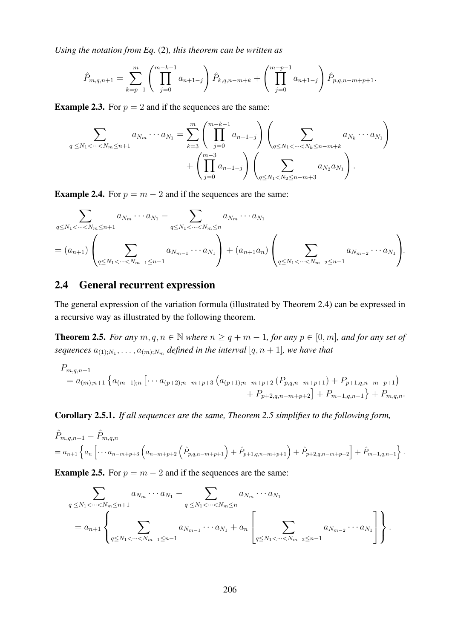*Using the notation from Eq.* (2)*, this theorem can be written as*

$$
\hat{P}_{m,q,n+1} = \sum_{k=p+1}^{m} \left( \prod_{j=0}^{m-k-1} a_{n+1-j} \right) \hat{P}_{k,q,n-m+k} + \left( \prod_{j=0}^{m-p-1} a_{n+1-j} \right) \hat{P}_{p,q,n-m+p+1}.
$$

**Example 2.3.** For  $p = 2$  and if the sequences are the same:

$$
\sum_{q \leq N_1 < \dots < N_m \leq n+1} a_{N_m} \dots a_{N_1} = \sum_{k=3}^m \left( \prod_{j=0}^{m-k-1} a_{n+1-j} \right) \left( \sum_{q \leq N_1 < \dots < N_k \leq n-m+k} a_{N_k} \dots a_{N_1} \right) + \left( \prod_{j=0}^{m-3} a_{n+1-j} \right) \left( \sum_{q \leq N_1 < N_2 \leq n-m+3} a_{N_2} a_{N_1} \right).
$$

**Example 2.4.** For  $p = m - 2$  and if the sequences are the same:

$$
\sum_{q \leq N_1 < \dots < N_m \leq n+1} a_{N_m} \dots a_{N_1} - \sum_{q \leq N_1 < \dots < N_m \leq n} a_{N_m} \dots a_{N_1}
$$
\n
$$
= (a_{n+1}) \left( \sum_{q \leq N_1 < \dots < N_{m-1} \leq n-1} a_{N_{m-1}} \dots a_{N_1} \right) + (a_{n+1} a_n) \left( \sum_{q \leq N_1 < \dots < N_{m-2} \leq n-1} a_{N_{m-2}} \dots a_{N_1} \right).
$$

### 2.4 General recurrent expression

The general expression of the variation formula (illustrated by Theorem 2.4) can be expressed in a recursive way as illustrated by the following theorem.

**Theorem 2.5.** *For any*  $m, q, n \in \mathbb{N}$  *where*  $n \geq q + m - 1$ *, for any*  $p \in [0, m]$ *, and for any set of* sequences  $a_{(1);N_1}, \ldots, a_{(m);N_m}$  defined in the interval  $[q, n + 1]$ , we have that

$$
P_{m,q,n+1}
$$
  
=  $a_{(m);n+1} \left\{ a_{(m-1);n} \left[ \cdots a_{(p+2);n-m+p+3} \left( a_{(p+1);n-m+p+2} \left( P_{p,q,n-m+p+1} \right) + P_{p+1,q,n-m+p+1} \right) \right.\right. \\ \left. + P_{p+2,q,n-m+p+2} \right] + P_{m-1,q,n-1} \left\} + P_{m,q,n}.$ 

Corollary 2.5.1. *If all sequences are the same, Theorem 2.5 simplifies to the following form,*

$$
\hat{P}_{m,q,n+1} - \hat{P}_{m,q,n} \n= a_{n+1} \left\{ a_n \left[ \cdots a_{n-m+p+3} \left( a_{n-m+p+2} \left( \hat{P}_{p,q,n-m+p+1} \right) + \hat{P}_{p+1,q,n-m+p+1} \right) + \hat{P}_{p+2,q,n-m+p+2} \right] + \hat{P}_{m-1,q,n-1} \right\}.
$$

**Example 2.5.** For  $p = m - 2$  and if the sequences are the same:

$$
\sum_{q \leq N_1 < \dots < N_m \leq n+1} a_{N_m} \dots a_{N_1} - \sum_{q \leq N_1 < \dots < N_m \leq n} a_{N_m} \dots a_{N_1}
$$
\n
$$
= a_{n+1} \left\{ \sum_{q \leq N_1 < \dots < N_{m-1} \leq n-1} a_{N_{m-1}} \dots a_{N_1} + a_n \left[ \sum_{q \leq N_1 < \dots < N_{m-2} \leq n-1} a_{N_{m-2}} \dots a_{N_1} \right] \right\}.
$$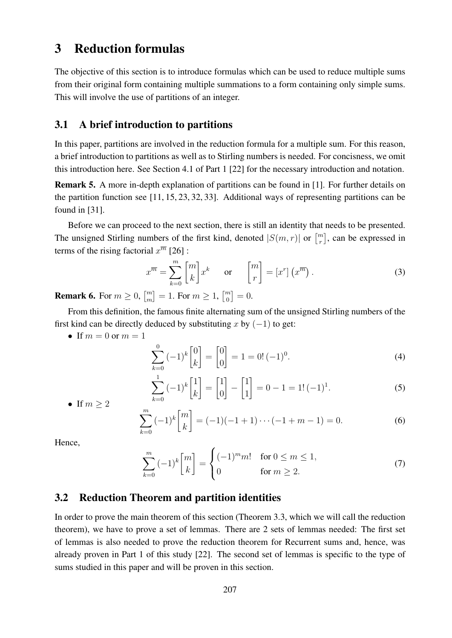### 3 Reduction formulas

The objective of this section is to introduce formulas which can be used to reduce multiple sums from their original form containing multiple summations to a form containing only simple sums. This will involve the use of partitions of an integer.

### 3.1 A brief introduction to partitions

In this paper, partitions are involved in the reduction formula for a multiple sum. For this reason, a brief introduction to partitions as well as to Stirling numbers is needed. For concisness, we omit this introduction here. See Section 4.1 of Part 1 [22] for the necessary introduction and notation.

Remark 5. A more in-depth explanation of partitions can be found in [1]. For further details on the partition function see [11, 15, 23, 32, 33]. Additional ways of representing partitions can be found in [31].

Before we can proceed to the next section, there is still an identity that needs to be presented. The unsigned Stirling numbers of the first kind, denoted  $|S(m, r)|$  or  $\binom{m}{r}$  $\binom{m}{r}$ , can be expressed in terms of the rising factorial  $x^{\overline{m}}$  [26] :

$$
x^{\overline{m}} = \sum_{k=0}^{m} \begin{bmatrix} m \\ k \end{bmatrix} x^k \quad \text{or} \quad \begin{bmatrix} m \\ r \end{bmatrix} = \begin{bmatrix} x^r \end{bmatrix} \begin{pmatrix} x^{\overline{m}} \end{pmatrix}.
$$
 (3)

**Remark 6.** For  $m \geq 0$ ,  $\begin{bmatrix} m \\ m \end{bmatrix}$  $\binom{m}{m} = 1.$  For  $m \geq 1$ ,  $\binom{m}{0}$  $_{0}^{m}$ ] = 0.

From this definition, the famous finite alternating sum of the unsigned Stirling numbers of the first kind can be directly deduced by substituting x by  $(-1)$  to get:

• If  $m = 0$  or  $m = 1$ 

$$
\sum_{k=0}^{0} (-1)^{k} \begin{bmatrix} 0 \\ k \end{bmatrix} = \begin{bmatrix} 0 \\ 0 \end{bmatrix} = 1 = 0! (-1)^{0}.
$$
 (4)

$$
\sum_{k=0}^{1} (-1)^{k} \begin{bmatrix} 1 \\ k \end{bmatrix} = \begin{bmatrix} 1 \\ 0 \end{bmatrix} - \begin{bmatrix} 1 \\ 1 \end{bmatrix} = 0 - 1 = 1! (-1)^{1}.
$$
 (5)

• If  $m > 2$  $\sim$  $\sqrt{ }$ m 1

$$
\sum_{k=0}^{m} (-1)^k \binom{m}{k} = (-1)(-1+1)\cdots(-1+m-1) = 0.
$$
 (6)

Hence,

$$
\sum_{k=0}^{m} (-1)^k \begin{bmatrix} m \\ k \end{bmatrix} = \begin{cases} (-1)^m m! & \text{for } 0 \le m \le 1, \\ 0 & \text{for } m \ge 2. \end{cases}
$$
 (7)

### 3.2 Reduction Theorem and partition identities

In order to prove the main theorem of this section (Theorem 3.3, which we will call the reduction theorem), we have to prove a set of lemmas. There are 2 sets of lemmas needed: The first set of lemmas is also needed to prove the reduction theorem for Recurrent sums and, hence, was already proven in Part 1 of this study [22]. The second set of lemmas is specific to the type of sums studied in this paper and will be proven in this section.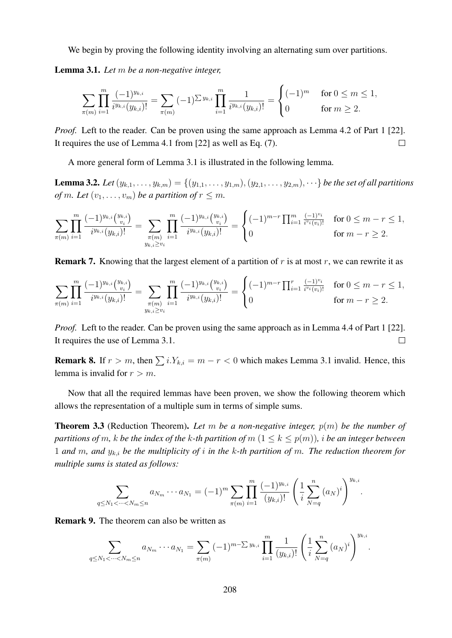We begin by proving the following identity involving an alternating sum over partitions.

Lemma 3.1. *Let* m *be a non-negative integer,*

$$
\sum_{\pi(m)} \prod_{i=1}^m \frac{(-1)^{y_{k,i}}}{i^{y_{k,i}}(y_{k,i})!} = \sum_{\pi(m)} (-1)^{\sum y_{k,i}} \prod_{i=1}^m \frac{1}{i^{y_{k,i}}(y_{k,i})!} = \begin{cases} (-1)^m & \text{for } 0 \le m \le 1, \\ 0 & \text{for } m \ge 2. \end{cases}
$$

*Proof.* Left to the reader. Can be proven using the same approach as Lemma 4.2 of Part 1 [22]. It requires the use of Lemma 4.1 from [22] as well as Eq. (7).  $\Box$ 

A more general form of Lemma 3.1 is illustrated in the following lemma.

**Lemma 3.2.** Let  $(y_{k,1},..., y_{k,m}) = \{(y_{1,1},..., y_{1,m}), (y_{2,1},..., y_{2,m}), ...\}$  be the set of all partitions *of* m. Let  $(v_1, \ldots, v_m)$  *be a partition of*  $r \leq m$ *.* 

$$
\sum_{\pi(m)} \prod_{i=1}^m \frac{(-1)^{y_{k,i}} \binom{y_{k,i}}{v_i}}{i^{y_{k,i}} (y_{k,i})!} = \sum_{\substack{\pi(m) \\ y_{k,i} \ge v_i}} \prod_{i=1}^m \frac{(-1)^{y_{k,i}} \binom{y_{k,i}}{v_i}}{i^{y_{k,i}} (y_{k,i})!} = \begin{cases} (-1)^{m-r} \prod_{i=1}^m \frac{(-1)^{v_i}}{i^{v_i}(v_i)!} & \text{for } 0 \le m-r \le 1, \\ 0 & \text{for } m-r \ge 2. \end{cases}
$$

**Remark 7.** Knowing that the largest element of a partition of  $r$  is at most  $r$ , we can rewrite it as

$$
\sum_{\pi(m)} \prod_{i=1}^m \frac{(-1)^{y_{k,i}} \binom{y_{k,i}}{v_i}}{i^{y_{k,i}} (y_{k,i})!} = \sum_{\substack{\pi(m) \\ y_{k,i} \ge v_i}} \prod_{i=1}^m \frac{(-1)^{y_{k,i}} \binom{y_{k,i}}{v_i}}{i^{y_{k,i}} (y_{k,i})!} = \begin{cases} (-1)^{m-r} \prod_{i=1}^r \frac{(-1)^{v_i}}{i^{v_i}(v_i)!} & \text{for } 0 \le m-r \le 1, \\ 0 & \text{for } m-r \ge 2. \end{cases}
$$

*Proof.* Left to the reader. Can be proven using the same approach as in Lemma 4.4 of Part 1 [22]. It requires the use of Lemma 3.1.  $\Box$ 

**Remark 8.** If  $r > m$ , then  $\sum i.Y_{k,i} = m - r < 0$  which makes Lemma 3.1 invalid. Hence, this lemma is invalid for  $r > m$ .

Now that all the required lemmas have been proven, we show the following theorem which allows the representation of a multiple sum in terms of simple sums.

Theorem 3.3 (Reduction Theorem). *Let* m *be a non-negative integer,* p(m) *be the number of partitions of* m, k be the index of the k-th partition of  $m$  ( $1 \leq k \leq p(m)$ ), i be an integer between 1 *and* m*, and* yk,i *be the multiplicity of* i *in the* k*-th partition of* m*. The reduction theorem for multiple sums is stated as follows:*

$$
\sum_{q \le N_1 < \dots < N_m \le n} a_{N_m} \dots a_{N_1} = (-1)^m \sum_{\pi(m)} \prod_{i=1}^m \frac{(-1)^{y_{k,i}}}{(y_{k,i})!} \left( \frac{1}{i} \sum_{N=q}^n (a_N)^i \right)^{y_{k,i}}
$$

.

Remark 9. The theorem can also be written as

$$
\sum_{q \leq N_1 < \dots < N_m \leq n} a_{N_m} \dots a_{N_1} = \sum_{\pi(m)} (-1)^{m-\sum y_{k,i}} \prod_{i=1}^m \frac{1}{(y_{k,i})!} \left( \frac{1}{i} \sum_{N=q}^n (a_N)^i \right)^{y_{k,i}}.
$$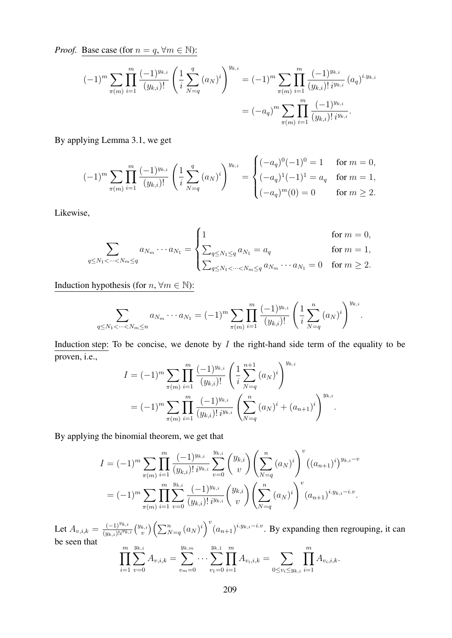*Proof.* Base case (for  $n = q$ ,  $\forall m \in \mathbb{N}$ ):

$$
(-1)^{m} \sum_{\pi(m)} \prod_{i=1}^{m} \frac{(-1)^{y_{k,i}}}{(y_{k,i})!} \left(\frac{1}{i} \sum_{N=q}^{q} (a_N)^i\right)^{y_{k,i}} = (-1)^{m} \sum_{\pi(m)} \prod_{i=1}^{m} \frac{(-1)^{y_{k,i}}}{(y_{k,i})! i^{y_{k,i}}} (a_q)^{i \cdot y_{k,i}} = (-a_q)^{m} \sum_{\pi(m)} \prod_{i=1}^{m} \frac{(-1)^{y_{k,i}}}{(y_{k,i})! i^{y_{k,i}}}.
$$

By applying Lemma 3.1, we get

$$
(-1)^m \sum_{\pi(m)} \prod_{i=1}^m \frac{(-1)^{y_{k,i}}}{(y_{k,i})!} \left(\frac{1}{i} \sum_{N=q}^q (a_N)^i\right)^{y_{k,i}} = \begin{cases} (-a_q)^0 (-1)^0 = 1 & \text{for } m = 0, \\ (-a_q)^1 (-1)^1 = a_q & \text{for } m = 1, \\ (-a_q)^m (0) = 0 & \text{for } m \ge 2. \end{cases}
$$

Likewise,

$$
\sum_{q \le N_1 < \dots < N_m \le q} a_{N_m} \dots a_{N_1} = \begin{cases} 1 & \text{for } m = 0, \\ \sum_{q \le N_1 \le q} a_{N_1} = a_q & \text{for } m = 1, \\ \sum_{q \le N_1 < \dots < N_m \le q} a_{N_m} \dots a_{N_1} = 0 & \text{for } m \ge 2. \end{cases}
$$

Induction hypothesis (for  $n, \forall m \in \mathbb{N}$ ):

$$
\sum_{q \leq N_1 < \dots < N_m \leq n} a_{N_m} \dots a_{N_1} = (-1)^m \sum_{\pi(m)} \prod_{i=1}^m \frac{(-1)^{y_{k,i}}}{(y_{k,i})!} \left( \frac{1}{i} \sum_{N=q}^n (a_N)^i \right)^{y_{k,i}}.
$$

Induction step: To be concise, we denote by  $I$  the right-hand side term of the equality to be proven, i.e.,

$$
I = (-1)^m \sum_{\pi(m)} \prod_{i=1}^m \frac{(-1)^{y_{k,i}}}{(y_{k,i})!} \left( \frac{1}{i} \sum_{N=q}^{n+1} (a_N)^i \right)^{y_{k,i}}
$$
  
=  $(-1)^m \sum_{\pi(m)} \prod_{i=1}^m \frac{(-1)^{y_{k,i}}}{(y_{k,i})! i^{y_{k,i}}} \left( \sum_{N=q}^n (a_N)^i + (a_{n+1})^i \right)^{y_{k,i}}.$ 

By applying the binomial theorem, we get that

$$
I = (-1)^m \sum_{\pi(m)} \prod_{i=1}^m \frac{(-1)^{y_{k,i}}}{(y_{k,i})!} \sum_{v=0}^{y_{k,i}} \binom{y_{k,i}}{v} \left(\sum_{N=q}^n (a_N)^i\right)^v \left((a_{n+1})^i\right)^{y_{k,i}-v}
$$
  

$$
= (-1)^m \sum_{\pi(m)} \prod_{i=1}^m \sum_{v=0}^{y_{k,i}} \frac{(-1)^{y_{k,i}}}{(y_{k,i})!} \binom{y_{k,i}}{v} \left(\sum_{N=q}^n (a_N)^i\right)^v (a_{n+1})^{i \cdot y_{k,i}-i \cdot v}.
$$

Let  $A_{v,i,k} = \frac{(-1)^{y_{k,i}}}{(y_{k,i})^{y_{k,i}}}$  $\frac{(-1)^{y_{k,i}}}{(y_{k,i})!i^{y_{k,i}}}\binom{y_{k,i}}{v}$  $v^{(k,i)}_{v} \left( \sum_{N=q}^{n} (a_N)^i \right)^v (a_{n+1})^{i \cdot y_{k,i} - i \cdot v}$ . By expanding then regrouping, it can be seen that

$$
\prod_{i=1}^m \sum_{v=0}^{y_{k,i}} A_{v,i,k} = \sum_{v_m=0}^{y_{k,m}} \cdots \sum_{v_1=0}^{y_{k,1}} \prod_{i=1}^m A_{v_i,i,k} = \sum_{0 \le v_i \le y_{k,i}} \prod_{i=1}^m A_{v_i,i,k}.
$$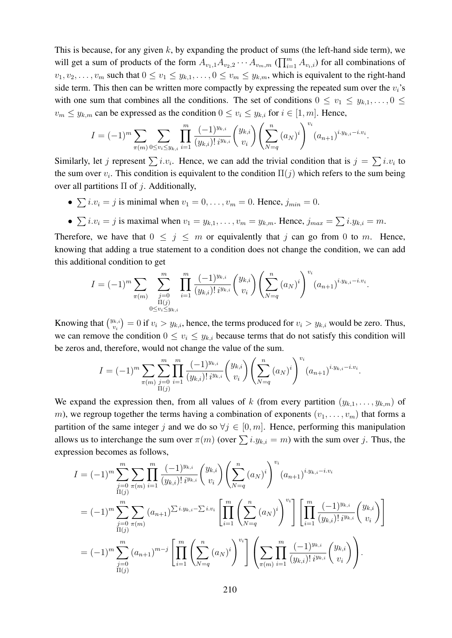This is because, for any given  $k$ , by expanding the product of sums (the left-hand side term), we will get a sum of products of the form  $A_{v_1,1}A_{v_2,2}\cdots A_{v_m,m}$  ( $\prod_{i=1}^m A_{v_i,i}$ ) for all combinations of  $v_1, v_2, \ldots, v_m$  such that  $0 \le v_1 \le y_{k,1}, \ldots, 0 \le v_m \le y_{k,m}$ , which is equivalent to the right-hand side term. This then can be written more compactly by expressing the repeated sum over the  $v_i$ 's with one sum that combines all the conditions. The set of conditions  $0 \le v_1 \le y_{k,1}, \ldots, 0 \le$  $v_m \leq y_{k,m}$  can be expressed as the condition  $0 \leq v_i \leq y_{k,i}$  for  $i \in [1, m]$ . Hence,

$$
I = (-1)^m \sum_{\pi(m)} \sum_{0 \le v_i \le y_{k,i}} \prod_{i=1}^m \frac{(-1)^{y_{k,i}}}{(y_{k,i})! i^{y_{k,i}}} {y_{k,i} \choose v_i} \left( \sum_{N=q}^n (a_N)^i \right)^{v_i} (a_{n+1})^{i \cdot y_{k,i} - i \cdot v_i}.
$$

Similarly, let j represent  $\sum i \nu_i$ . Hence, we can add the trivial condition that is  $j = \sum i \nu_i$  to the sum over  $v_i$ . This condition is equivalent to the condition  $\Pi(j)$  which refers to the sum being over all partitions  $\Pi$  of *j*. Additionally,

- $\sum i \cdot v_i = j$  is minimal when  $v_1 = 0, \ldots, v_m = 0$ . Hence,  $j_{min} = 0$ .
- $\sum i \cdot v_i = j$  is maximal when  $v_1 = y_{k,1}, \ldots, v_m = y_{k,m}$ . Hence,  $j_{max} = \sum i \cdot y_{k,i} = m$ .

Therefore, we have that  $0 \leq j \leq m$  or equivalently that j can go from 0 to m. Hence, knowing that adding a true statement to a condition does not change the condition, we can add this additional condition to get

$$
I = (-1)^m \sum_{\pi(m)} \sum_{\substack{j=0 \ \Pi(j) \\ \Pi(j) \\ 0 \le v_i \le y_{k,i}}} \prod_{i=1}^m \frac{(-1)^{y_{k,i}}}{(y_{k,i})! i^{y_{k,i}}} {y_{k,i} \choose v_i} \left( \sum_{N=q}^n (a_N)^i \right)^{v_i} (a_{n+1})^{i \cdot y_{k,i} - i \cdot v_i}.
$$

Knowing that  $\binom{y_{k,i}}{y_i}$  $v_{i}^{(k,i)}=0$  if  $v_{i}>y_{k,i}$ , hence, the terms produced for  $v_{i}>y_{k,i}$  would be zero. Thus, we can remove the condition  $0 \le v_i \le y_{k,i}$  because terms that do not satisfy this condition will be zeros and, therefore, would not change the value of the sum.

$$
I = (-1)^m \sum_{\pi(m)} \sum_{\substack{j=0 \ \Pi(j)}}^m \prod_{i=1}^m \frac{(-1)^{y_{k,i}}}{(y_{k,i})! i^{y_{k,i}}} {y_{k,i} \choose v_i} \left( \sum_{N=q}^n (a_N)^i \right)^{v_i} (a_{n+1})^{i \cdot y_{k,i} - i \cdot v_i}.
$$

We expand the expression then, from all values of k (from every partition  $(y_{k,1},...,y_{k,m})$  of m), we regroup together the terms having a combination of exponents  $(v_1, \ldots, v_m)$  that forms a partition of the same integer j and we do so  $\forall j \in [0, m]$ . Hence, performing this manipulation allows us to interchange the sum over  $\pi(m)$  (over  $\sum i.y_{k,i} = m$ ) with the sum over j. Thus, the expression becomes as follows,

$$
I = (-1)^m \sum_{\substack{j=0 \ j\in\{0 \ n(m)\}}}^m \sum_{i=1}^m \prod_{(y_{k,i})}^m \frac{(-1)^{y_{k,i}}}{(y_{k,i})! i^{y_{k,i}}} {y_k \choose v_i} \left( \sum_{N=q}^n (a_N)^i \right)^{v_i} (a_{n+1})^{i \cdot y_{k,i} - i \cdot v_i}
$$
  
\n
$$
= (-1)^m \sum_{\substack{j=0 \ j\in\{0 \ n(m)\}}}^m \sum_{\substack{n(m) \ n(m) \ n(m)}}^m (a_{n+1})^{\sum i \cdot y_{k,i} - \sum i \cdot v_i} \left[ \prod_{i=1}^m \left( \sum_{N=q}^n (a_N)^i \right)^{v_i} \right] \left[ \prod_{i=1}^m \frac{(-1)^{y_{k,i}}}{(y_{k,i})! i^{y_{k,i}}} {y_k \choose v_i} \right]
$$
  
\n
$$
= (-1)^m \sum_{\substack{j=0 \ j\in\{0 \ n(m)\}}}^m (a_{n+1})^{m-j} \left[ \prod_{i=1}^m \left( \sum_{N=q}^n (a_N)^i \right)^{v_i} \right] \left( \sum_{\pi(m)} \prod_{i=1}^m \frac{(-1)^{y_{k,i}}}{(y_{k,i})! i^{y_{k,i}}} {y_k \choose v_i} \right).
$$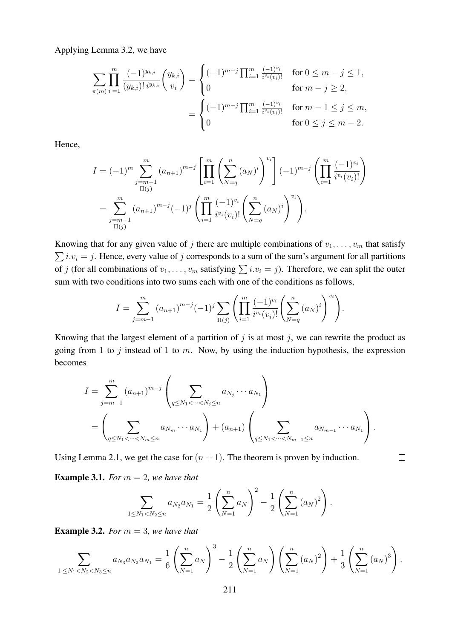Applying Lemma 3.2, we have

$$
\sum_{\pi(m)} \prod_{i=1}^{m} \frac{(-1)^{y_{k,i}}}{(y_{k,i})! i^{y_{k,i}}} {y_k \choose v_i} = \begin{cases} (-1)^{m-j} \prod_{i=1}^{m} \frac{(-1)^{v_i}}{i^{v_i}(v_i)!} & \text{for } 0 \le m - j \le 1, \\ 0 & \text{for } m - j \ge 2, \end{cases}
$$

$$
= \begin{cases} (-1)^{m-j} \prod_{i=1}^{m} \frac{(-1)^{v_i}}{i^{v_i}(v_i)!} & \text{for } m - 1 \le j \le m, \\ 0 & \text{for } 0 \le j \le m - 2. \end{cases}
$$

Hence,

$$
I = (-1)^m \sum_{\substack{j=m-1 \ n(j)}}^m (a_{n+1})^{m-j} \left[ \prod_{i=1}^m \left( \sum_{N=q}^n (a_N)^i \right)^{v_i} \right] (-1)^{m-j} \left( \prod_{i=1}^m \frac{(-1)^{v_i}}{i^{v_i}(v_i)!} \right)
$$
  
= 
$$
\sum_{\substack{j=m-1 \ n(j)}}^m (a_{n+1})^{m-j} (-1)^j \left( \prod_{i=1}^m \frac{(-1)^{v_i}}{i^{v_i}(v_i)!} \left( \sum_{N=q}^n (a_N)^i \right)^{v_i} \right).
$$

Knowing that for any given value of j there are multiple combinations of  $v_1, \ldots, v_m$  that satisfy  $\sum i.v_i = j$ . Hence, every value of j corresponds to a sum of the sum's argument for all partitions of j (for all combinations of  $v_1, \ldots, v_m$  satisfying  $\sum i \cdot v_i = j$ ). Therefore, we can split the outer sum with two conditions into two sums each with one of the conditions as follows,

$$
I = \sum_{j=m-1}^{m} (a_{n+1})^{m-j} (-1)^j \sum_{\Pi(j)} \left( \prod_{i=1}^{m} \frac{(-1)^{v_i}}{i^{v_i}(v_i)!} \left( \sum_{N=q}^{n} (a_N)^i \right)^{v_i} \right).
$$

Knowing that the largest element of a partition of  $j$  is at most  $j$ , we can rewrite the product as going from 1 to j instead of 1 to  $m$ . Now, by using the induction hypothesis, the expression becomes

$$
I = \sum_{j=m-1}^{m} (a_{n+1})^{m-j} \left( \sum_{q \le N_1 < \dots < N_j \le n} a_{N_j} \dots a_{N_1} \right)
$$
  
= 
$$
\left( \sum_{q \le N_1 < \dots < N_m \le n} a_{N_m} \dots a_{N_1} \right) + (a_{n+1}) \left( \sum_{q \le N_1 < \dots < N_{m-1} \le n} a_{N_{m-1}} \dots a_{N_1} \right).
$$

 $\Box$ 

Using Lemma 2.1, we get the case for  $(n + 1)$ . The theorem is proven by induction.

**Example 3.1.** *For*  $m = 2$ *, we have that* 

$$
\sum_{1 \leq N_1 < N_2 \leq n} a_{N_2} a_{N_1} = \frac{1}{2} \left( \sum_{N=1}^n a_N \right)^2 - \frac{1}{2} \left( \sum_{N=1}^n (a_N)^2 \right).
$$

**Example 3.2.** *For*  $m = 3$ *, we have that* 

$$
\sum_{1 \leq N_1 < N_2 < N_3 \leq n} a_{N_3} a_{N_2} a_{N_1} = \frac{1}{6} \left( \sum_{N=1}^n a_N \right)^3 - \frac{1}{2} \left( \sum_{N=1}^n a_N \right) \left( \sum_{N=1}^n (a_N)^2 \right) + \frac{1}{3} \left( \sum_{N=1}^n (a_N)^3 \right).
$$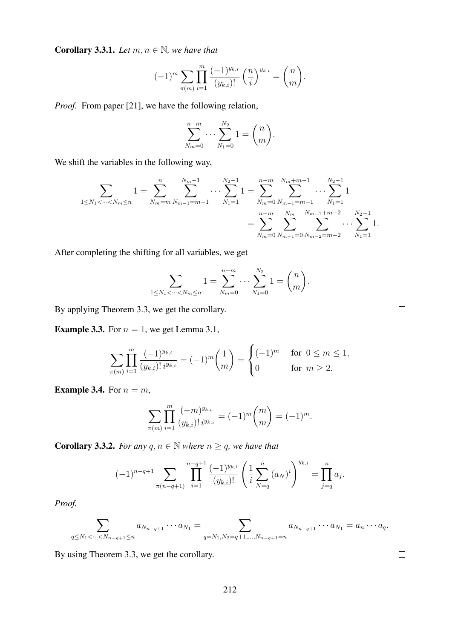**Corollary 3.3.1.** *Let*  $m, n \in \mathbb{N}$ *, we have that* 

$$
(-1)^m \sum_{\pi(m)} \prod_{i=1}^m \frac{(-1)^{y_{k,i}}}{(y_{k,i})!} \left(\frac{n}{i}\right)^{y_{k,i}} = \binom{n}{m}.
$$

*Proof.* From paper [21], we have the following relation,

$$
\sum_{N_m=0}^{n-m} \cdots \sum_{N_1=0}^{N_2} 1 = {n \choose m}.
$$

We shift the variables in the following way,

$$
\sum_{1 \leq N_1 < \dots < N_m \leq n} 1 = \sum_{N_m = m}^{n} \sum_{N_{m-1} = m-1}^{N_{m-1}} \dots \sum_{N_1 = 1}^{N_2 - 1} 1 = \sum_{N_m = 0}^{n - m} \sum_{N_{m-1} = m-1}^{N_m + m - 1} \dots \sum_{N_1 = 1}^{N_2 - 1} 1
$$
\n
$$
= \sum_{N_m = 0}^{n - m} \sum_{N_{m-1} = 0}^{N_m} \sum_{N_{m-1} = 0}^{N_{m-1} + m - 2} \dots \sum_{N_1 = 1}^{N_2 - 1} 1.
$$

After completing the shifting for all variables, we get

$$
\sum_{1 \leq N_1 < \dots < N_m \leq n} 1 = \sum_{N_m = 0}^{n-m} \dots \sum_{N_1 = 0}^{N_2} 1 = \binom{n}{m}.
$$

By applying Theorem 3.3, we get the corollary.

**Example 3.3.** For  $n = 1$ , we get Lemma 3.1,

$$
\sum_{\pi(m)} \prod_{i=1}^m \frac{(-1)^{y_{k,i}}}{(y_{k,i})! \, i^{y_{k,i}}} = (-1)^m \binom{1}{m} = \begin{cases} (-1)^m & \text{for } 0 \le m \le 1, \\ 0 & \text{for } m \ge 2. \end{cases}
$$

**Example 3.4.** For  $n = m$ ,

$$
\sum_{\pi(m)} \prod_{i=1}^m \frac{(-m)^{y_{k,i}}}{(y_{k,i})! \, i^{y_{k,i}}} = (-1)^m \binom{m}{m} = (-1)^m.
$$

**Corollary 3.3.2.** *For any*  $q, n \in \mathbb{N}$  *where*  $n \geq q$ *, we have that* 

$$
(-1)^{n-q+1} \sum_{\pi(n-q+1)} \prod_{i=1}^{n-q+1} \frac{(-1)^{y_{k,i}}}{(y_{k,i})!} \left(\frac{1}{i} \sum_{N=q}^{n} (a_N)^i\right)^{y_{k,i}} = \prod_{j=q}^{n} a_j.
$$

*Proof.*

$$
\sum_{q \le N_1 < \dots < N_{n-q+1} \le n} a_{N_{n-q+1}} \dots a_{N_1} = \sum_{q = N_1, N_2 = q+1, \dots, N_{n-q+1} = n} a_{N_{n-q+1}} \dots a_{N_1} = a_n \dots a_q.
$$

By using Theorem 3.3, we get the corollary.

 $\Box$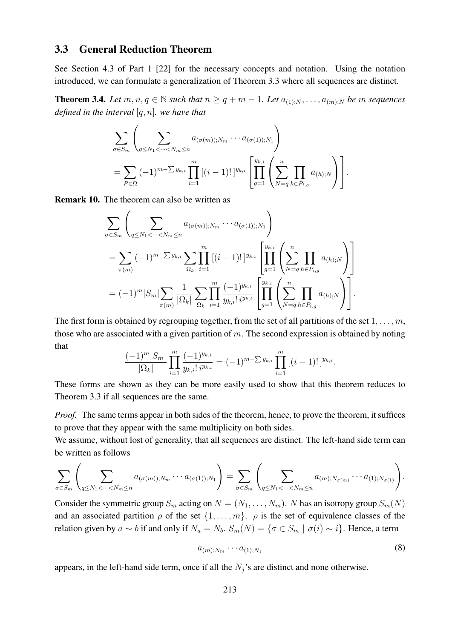### 3.3 General Reduction Theorem

See Section 4.3 of Part 1 [22] for the necessary concepts and notation. Using the notation introduced, we can formulate a generalization of Theorem 3.3 where all sequences are distinct.

**Theorem 3.4.** *Let*  $m, n, q \in \mathbb{N}$  *such that*  $n \geq q + m - 1$ *. Let*  $a_{(1),N}, \ldots, a_{(m),N}$  *be* m *sequences defined in the interval* [q, n]*. we have that*

$$
\sum_{\sigma \in S_m} \left( \sum_{q \le N_1 < \dots < N_m \le n} a_{(\sigma(m)); N_m} \dots a_{(\sigma(1)); N_1} \right) \\
= \sum_{P \in \Omega} (-1)^{m - \sum y_{k,i}} \prod_{i=1}^m \left[ (i-1)! \right]^{y_{k,i}} \left[ \prod_{g=1}^{y_{k,i}} \left( \sum_{N=q}^n \prod_{h \in P_{i,g}} a_{(h);N} \right) \right].
$$

Remark 10. The theorem can also be written as

$$
\sum_{\sigma \in S_m} \left( \sum_{q \le N_1 < \dots < N_m \le n} a_{(\sigma(m)); N_m} \dots a_{(\sigma(1)); N_1} \right)
$$
\n
$$
= \sum_{\pi(m)} (-1)^{m - \sum y_{k,i}} \sum_{\Omega_k} \prod_{i=1}^m \left[ (i-1)! \right]^{y_{k,i}} \left[ \prod_{g=1}^{y_{k,i}} \left( \sum_{N=q}^n \prod_{h \in P_{i,g}} a_{(h);N} \right) \right]
$$
\n
$$
= (-1)^m |S_m| \sum_{\pi(m)} \frac{1}{|\Omega_k|} \sum_{\Omega_k} \prod_{i=1}^m \frac{(-1)^{y_{k,i}}}{y_{k,i}! i^{y_{k,i}}} \left[ \prod_{g=1}^{y_{k,i}} \left( \sum_{N=q}^n \prod_{h \in P_{i,g}} a_{(h);N} \right) \right].
$$

The first form is obtained by regrouping together, from the set of all partitions of the set  $1, \ldots, m$ , those who are associated with a given partition of  $m$ . The second expression is obtained by noting that

$$
\frac{(-1)^m|S_m|}{|\Omega_k|}\prod_{i=1}^m\frac{(-1)^{y_{k,i}}}{y_{k,i}!\,i^{y_{k,i}}} = (-1)^{m-\sum y_{k,i}}\prod_{i=1}^m\left[(i-1)!\,\right]^{y_{k,i}}.
$$

These forms are shown as they can be more easily used to show that this theorem reduces to Theorem 3.3 if all sequences are the same.

*Proof.* The same terms appear in both sides of the theorem, hence, to prove the theorem, it suffices to prove that they appear with the same multiplicity on both sides.

We assume, without lost of generality, that all sequences are distinct. The left-hand side term can be written as follows

$$
\sum_{\sigma \in S_m} \left( \sum_{q \le N_1 < \dots < N_m \le n} a_{(\sigma(m)); N_m} \dotsm a_{(\sigma(1)); N_1} \right) = \sum_{\sigma \in S_m} \left( \sum_{q \le N_1 < \dots < N_m \le n} a_{(m); N_{\sigma(m)}} \dotsm a_{(1); N_{\sigma(1)}} \right).
$$

Consider the symmetric group  $S_m$  acting on  $N = (N_1, \ldots, N_m)$ . N has an isotropy group  $S_m(N)$ and an associated partition  $\rho$  of the set  $\{1, \ldots, m\}$ .  $\rho$  is the set of equivalence classes of the relation given by  $a \sim b$  if and only if  $N_a = N_b$ .  $S_m(N) = \{ \sigma \in S_m \mid \sigma(i) \sim i \}$ . Hence, a term

$$
a_{(m);N_m} \cdots a_{(1);N_1} \tag{8}
$$

appears, in the left-hand side term, once if all the  $N_j$ 's are distinct and none otherwise.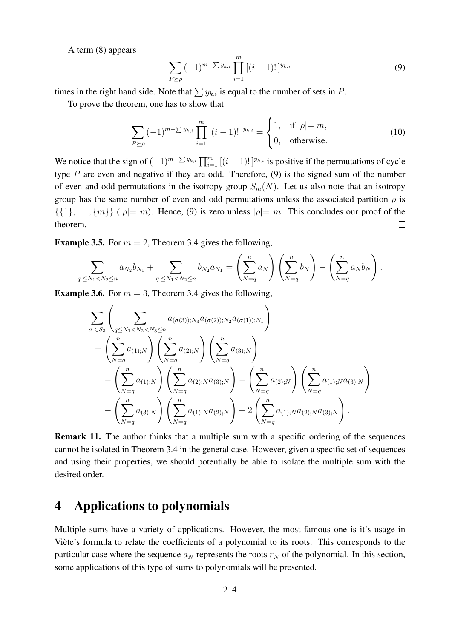A term (8) appears

$$
\sum_{P \succeq \rho} (-1)^{m-\sum y_{k,i}} \prod_{i=1}^m [(i-1)!]^{y_{k,i}} \tag{9}
$$

times in the right hand side. Note that  $\sum y_{k,i}$  is equal to the number of sets in P.

To prove the theorem, one has to show that

$$
\sum_{P \succeq \rho} (-1)^{m-\sum y_{k,i}} \prod_{i=1}^{m} [(i-1)!]^{y_{k,i}} = \begin{cases} 1, & \text{if } |\rho| = m, \\ 0, & \text{otherwise.} \end{cases}
$$
 (10)

We notice that the sign of  $(-1)^{m-\sum y_{k,i}} \prod_{i=1}^m [(i-1)!]^{y_{k,i}}$  is positive if the permutations of cycle type  $P$  are even and negative if they are odd. Therefore,  $(9)$  is the signed sum of the number of even and odd permutations in the isotropy group  $S_m(N)$ . Let us also note that an isotropy group has the same number of even and odd permutations unless the associated partition  $\rho$  is  $\{\{1\}, \ldots, \{m\}\}\$  ( $|\rho|=m$ ). Hence, (9) is zero unless  $|\rho|=m$ . This concludes our proof of the theorem.  $\Box$ 

**Example 3.5.** For  $m = 2$ , Theorem 3.4 gives the following,

$$
\sum_{q \leq N_1 < N_2 \leq n} a_{N_2} b_{N_1} + \sum_{q \leq N_1 < N_2 \leq n} b_{N_2} a_{N_1} = \left(\sum_{N=q}^n a_N\right) \left(\sum_{N=q}^n b_N\right) - \left(\sum_{N=q}^n a_N b_N\right).
$$

**Example 3.6.** For  $m = 3$ , Theorem 3.4 gives the following,

$$
\sum_{\sigma \in S_3} \left( \sum_{q \le N_1 < N_2 < N_3 \le n} a_{(\sigma(3));N_3} a_{(\sigma(2));N_2} a_{(\sigma(1));N_1} \right) \n= \left( \sum_{N=q}^n a_{(1);N} \right) \left( \sum_{N=q}^n a_{(2);N} \right) \left( \sum_{N=q}^n a_{(3);N} \right) \n- \left( \sum_{N=q}^n a_{(1);N} \right) \left( \sum_{N=q}^n a_{(2);N} a_{(3);N} \right) - \left( \sum_{N=q}^n a_{(2);N} \right) \left( \sum_{N=q}^n a_{(1);N} a_{(3);N} \right) \n- \left( \sum_{N=q}^n a_{(3);N} \right) \left( \sum_{N=q}^n a_{(1);N} a_{(2);N} \right) + 2 \left( \sum_{N=q}^n a_{(1);N} a_{(2);N} a_{(3);N} \right).
$$

Remark 11. The author thinks that a multiple sum with a specific ordering of the sequences cannot be isolated in Theorem 3.4 in the general case. However, given a specific set of sequences and using their properties, we should potentially be able to isolate the multiple sum with the desired order.

### 4 Applications to polynomials

Multiple sums have a variety of applications. However, the most famous one is it's usage in Viète's formula to relate the coefficients of a polynomial to its roots. This corresponds to the particular case where the sequence  $a_N$  represents the roots  $r_N$  of the polynomial. In this section, some applications of this type of sums to polynomials will be presented.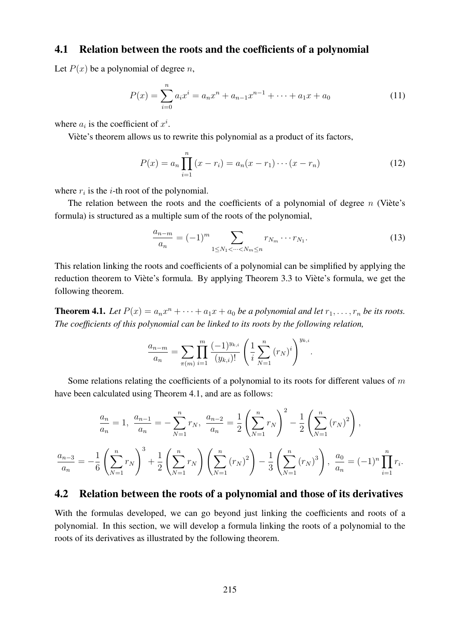#### 4.1 Relation between the roots and the coefficients of a polynomial

Let  $P(x)$  be a polynomial of degree n,

$$
P(x) = \sum_{i=0}^{n} a_i x^i = a_n x^n + a_{n-1} x^{n-1} + \dots + a_1 x + a_0
$$
 (11)

where  $a_i$  is the coefficient of  $x^i$ .

Viete's theorem allows us to rewrite this polynomial as a product of its factors, `

$$
P(x) = a_n \prod_{i=1}^{n} (x - r_i) = a_n (x - r_1) \cdots (x - r_n)
$$
 (12)

where  $r_i$  is the *i*-th root of the polynomial.

The relation between the roots and the coefficients of a polynomial of degree  $n$  (Viète's formula) is structured as a multiple sum of the roots of the polynomial,

$$
\frac{a_{n-m}}{a_n} = (-1)^m \sum_{1 \le N_1 < \dots < N_m \le n} r_{N_m} \dots r_{N_1}.\tag{13}
$$

.

This relation linking the roots and coefficients of a polynomial can be simplified by applying the reduction theorem to Viète's formula. By applying Theorem 3.3 to Viète's formula, we get the following theorem.

**Theorem 4.1.** Let  $P(x) = a_n x^n + \cdots + a_1 x + a_0$  be a polynomial and let  $r_1, \ldots, r_n$  be its roots. *The coefficients of this polynomial can be linked to its roots by the following relation,*

$$
\frac{a_{n-m}}{a_n} = \sum_{\pi(m)} \prod_{i=1}^m \frac{(-1)^{y_{k,i}}}{(y_{k,i})!} \left(\frac{1}{i} \sum_{N=1}^n (r_N)^i\right)^{y_{k,i}}
$$

Some relations relating the coefficients of a polynomial to its roots for different values of  $m$ have been calculated using Theorem 4.1, and are as follows:

$$
\frac{a_n}{a_n} = 1, \quad \frac{a_{n-1}}{a_n} = -\sum_{N=1}^n r_N, \quad \frac{a_{n-2}}{a_n} = \frac{1}{2} \left( \sum_{N=1}^n r_N \right)^2 - \frac{1}{2} \left( \sum_{N=1}^n (r_N)^2 \right),
$$
\n
$$
\frac{a_{n-3}}{a_n} = -\frac{1}{6} \left( \sum_{N=1}^n r_N \right)^3 + \frac{1}{2} \left( \sum_{N=1}^n r_N \right) \left( \sum_{N=1}^n (r_N)^2 \right) - \frac{1}{3} \left( \sum_{N=1}^n (r_N)^3 \right), \quad \frac{a_0}{a_n} = (-1)^n \prod_{i=1}^n r_i.
$$

### 4.2 Relation between the roots of a polynomial and those of its derivatives

With the formulas developed, we can go beyond just linking the coefficients and roots of a polynomial. In this section, we will develop a formula linking the roots of a polynomial to the roots of its derivatives as illustrated by the following theorem.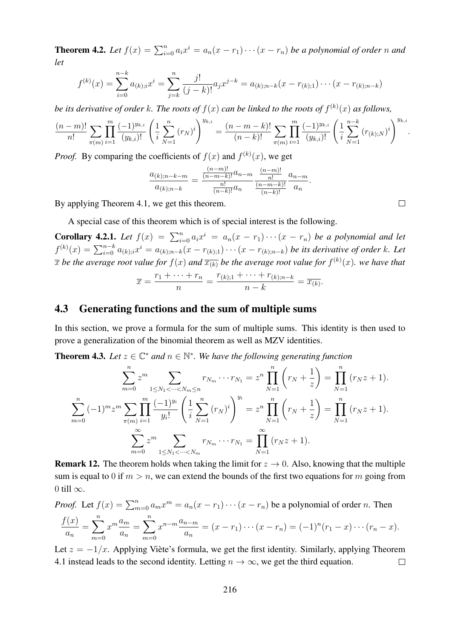**Theorem 4.2.** Let  $f(x) = \sum_{i=0}^{n} a_i x^i = a_n(x - r_1) \cdots (x - r_n)$  be a polynomial of order n and *let*

$$
f^{(k)}(x) = \sum_{i=0}^{n-k} a_{(k);i} x^i = \sum_{j=k}^{n} \frac{j!}{(j-k)!} a_j x^{j-k} = a_{(k);n-k}(x - r_{(k);1}) \cdots (x - r_{(k);n-k})
$$

*be its derivative of order k. The roots of*  $f(x)$  *can be linked to the roots of*  $f^{(k)}(x)$  *as follows,* 

$$
\frac{(n-m)!}{n!} \sum_{\pi(m)} \prod_{i=1}^m \frac{(-1)^{y_{k,i}}}{(y_{k,i})!} \left(\frac{1}{i} \sum_{N=1}^n (r_N)^i\right)^{y_{k,i}} = \frac{(n-m-k)!}{(n-k)!} \sum_{\pi(m)} \prod_{i=1}^m \frac{(-1)^{y_{k,i}}}{(y_{k,i})!} \left(\frac{1}{i} \sum_{N=1}^{n-k} (r_{(k);N})^i\right)^{y_{k,i}}.
$$

*Proof.* By comparing the coefficients of  $f(x)$  and  $f^{(k)}(x)$ , we get

$$
\frac{a_{(k);n-k-m}}{a_{(k);n-k}} = \frac{\frac{(n-m)!}{(n-m-k)!}a_{n-m}}{\frac{n!}{(n-k)!}a_n} \frac{\frac{(n-m)!}{n!}}{\frac{(n-m-k)!}{(n-k)!}}\frac{a_{n-m}}{a_n}.
$$

By applying Theorem 4.1, we get this theorem.

A special case of this theorem which is of special interest is the following.

**Corollary 4.2.1.** Let  $f(x) = \sum_{i=0}^{n} a_i x^i = a_n(x - r_1) \cdots (x - r_n)$  be a polynomial and let  $f^{(k)}(x) = \sum_{i=0}^{n-k} a_{(k);i} x^i = a_{(k);n-k}(x - r_{(k);1}) \cdots (x - r_{(k);n-k})$  *be its derivative of order* k. Let  $\overline{x}$  be the average root value for  $f(x)$  and  $\overline{x_{(k)}}$  be the average root value for  $f^{(k)}(x)$ . we have that

$$
\overline{x} = \frac{r_1 + \dots + r_n}{n} = \frac{r_{(k);1} + \dots + r_{(k);n-k}}{n-k} = \overline{x_{(k)}}.
$$

#### 4.3 Generating functions and the sum of multiple sums

In this section, we prove a formula for the sum of multiple sums. This identity is then used to prove a generalization of the binomial theorem as well as MZV identities.

**Theorem 4.3.** Let  $z \in \mathbb{C}^*$  and  $n \in \mathbb{N}^*$ . We have the following generating function

$$
\sum_{m=0}^{n} z^{m} \sum_{1 \le N_1 < \dots < N_m \le n} r_{N_m} \dots r_{N_1} = z^n \prod_{N=1}^{n} \left( r_N + \frac{1}{z} \right) = \prod_{N=1}^{n} \left( r_N z + 1 \right).
$$
\n
$$
\sum_{m=0}^{n} (-1)^m z^m \sum_{\pi(m)} \prod_{i=1}^{m} \frac{(-1)^{y_i}}{y_i!} \left( \frac{1}{i} \sum_{N=1}^{n} \left( r_N \right)^i \right)^{y_i} = z^n \prod_{N=1}^{n} \left( r_N + \frac{1}{z} \right) = \prod_{N=1}^{n} \left( r_N z + 1 \right).
$$
\n
$$
\sum_{m=0}^{\infty} z^m \sum_{1 \le N_1 < \dots < N_m} r_{N_m} \dots r_{N_1} = \prod_{N=1}^{\infty} \left( r_N z + 1 \right).
$$

**Remark 12.** The theorem holds when taking the limit for  $z \rightarrow 0$ . Also, knowing that the multiple sum is equal to 0 if  $m > n$ , we can extend the bounds of the first two equations for m going from 0 till  $\infty$ .

*Proof.* Let 
$$
f(x) = \sum_{m=0}^{n} a_m x^m = a_n (x - r_1) \cdots (x - r_n)
$$
 be a polynomial of order *n*. Then  
\n
$$
\frac{f(x)}{a_n} = \sum_{m=0}^{n} x^m \frac{a_m}{a_n} = \sum_{m=0}^{n} x^{n-m} \frac{a_{n-m}}{a_n} = (x - r_1) \cdots (x - r_n) = (-1)^n (r_1 - x) \cdots (r_n - x).
$$

Let  $z = -1/x$ . Applying Viète's formula, we get the first identity. Similarly, applying Theorem 4.1 instead leads to the second identity. Letting  $n \to \infty$ , we get the third equation.  $\Box$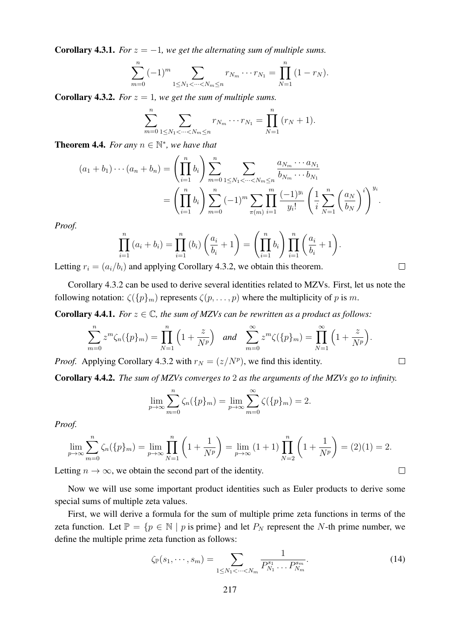**Corollary 4.3.1.** *For*  $z = -1$ *, we get the alternating sum of multiple sums.* 

$$
\sum_{m=0}^{n} (-1)^m \sum_{1 \le N_1 < \dots < N_m \le n} r_{N_m} \dots r_{N_1} = \prod_{N=1}^{n} (1 - r_N).
$$

**Corollary 4.3.2.** *For*  $z = 1$ *, we get the sum of multiple sums.* 

$$
\sum_{m=0}^{n} \sum_{1 \leq N_1 < \dots < N_m \leq n} r_{N_m} \dots r_{N_1} = \prod_{N=1}^{n} (r_N + 1).
$$

**Theorem 4.4.** For any  $n \in \mathbb{N}^*$ , we have that

$$
(a_1 + b_1) \cdots (a_n + b_n) = \left(\prod_{i=1}^n b_i\right) \sum_{m=0}^n \sum_{1 \le N_1 < \dots < N_m \le n} \frac{a_{N_m} \cdots a_{N_1}}{b_{N_m} \cdots b_{N_1}}
$$
  
= 
$$
\left(\prod_{i=1}^n b_i\right) \sum_{m=0}^n (-1)^m \sum_{\pi(m)} \prod_{i=1}^m \frac{(-1)^{y_i}}{y_i!} \left(\frac{1}{i} \sum_{N=1}^n \left(\frac{a_N}{b_N}\right)^i\right)^{y_i}.
$$

*Proof.*

$$
\prod_{i=1}^{n} (a_i + b_i) = \prod_{i=1}^{n} (b_i) \left( \frac{a_i}{b_i} + 1 \right) = \left( \prod_{i=1}^{n} b_i \right) \prod_{i=1}^{n} \left( \frac{a_i}{b_i} + 1 \right).
$$
  
and applying Corollary 4.3.2, we obtain this theorem

 $\Box$ 

 $\overline{\phantom{a}}$ 

 $\Box$ 

Letting  $r_i = (a_i/b_i)$  and applying Corollary 4.3.2, we obtain this theorem.

Corollary 4.3.2 can be used to derive several identities related to MZVs. First, let us note the following notation:  $\zeta({p}_m)$  represents  $\zeta(p,\ldots,p)$  where the multiplicity of p is m.

**Corollary 4.4.1.** *For*  $z \in \mathbb{C}$ *, the sum of MZVs can be rewritten as a product as follows:* 

$$
\sum_{m=0}^{n} z^{m} \zeta_n(\{p\}_m) = \prod_{N=1}^{n} \left(1 + \frac{z}{N^p}\right) \quad \text{and} \quad \sum_{m=0}^{\infty} z^{m} \zeta(\{p\}_m) = \prod_{N=1}^{\infty} \left(1 + \frac{z}{N^p}\right).
$$

*Proof.* Applying Corollary 4.3.2 with  $r_N = (z/N^p)$ , we find this identity.

Corollary 4.4.2. *The sum of MZVs converges to* 2 *as the arguments of the MZVs go to infinity.*

$$
\lim_{p \to \infty} \sum_{m=0}^{n} \zeta_n(\{p\}_m) = \lim_{p \to \infty} \sum_{m=0}^{\infty} \zeta(\{p\}_m) = 2.
$$

*Proof.*

$$
\lim_{p \to \infty} \sum_{m=0}^{n} \zeta_n(\{p\}_m) = \lim_{p \to \infty} \prod_{N=1}^{n} \left(1 + \frac{1}{N^p}\right) = \lim_{p \to \infty} (1+1) \prod_{N=2}^{n} \left(1 + \frac{1}{N^p}\right) = (2)(1) = 2.
$$

Letting  $n \to \infty$ , we obtain the second part of the identity.

Now we will use some important product identities such as Euler products to derive some special sums of multiple zeta values.

First, we will derive a formula for the sum of multiple prime zeta functions in terms of the zeta function. Let  $\mathbb{P} = \{p \in \mathbb{N} \mid p \text{ is prime}\}$  and let  $P_N$  represent the N-th prime number, we define the multiple prime zeta function as follows:

$$
\zeta_{\mathbb{P}}(s_1, \cdots, s_m) = \sum_{1 \le N_1 < \cdots < N_m} \frac{1}{P_{N_1}^{s_1} \cdots P_{N_m}^{s_m}}.
$$
\n(14)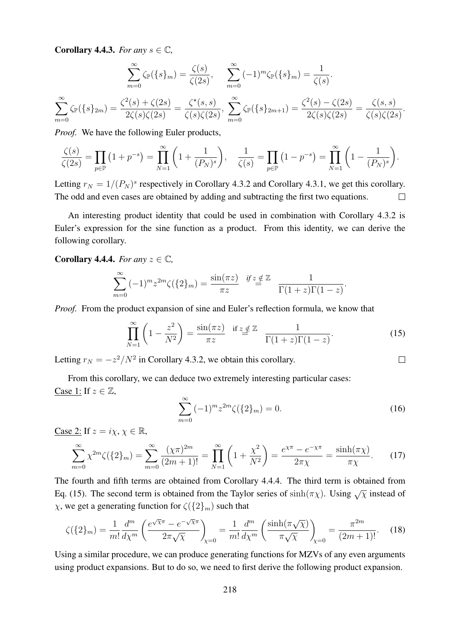**Corollary 4.4.3.** *For any*  $s \in \mathbb{C}$ *,* 

 $\sum^{\infty}$ 

 $m=0$ 

$$
\sum_{m=0}^{\infty} \zeta_{\mathbb{P}}(\{s\}_m) = \frac{\zeta(s)}{\zeta(2s)}, \quad \sum_{m=0}^{\infty} (-1)^m \zeta_{\mathbb{P}}(\{s\}_m) = \frac{1}{\zeta(s)}.
$$

$$
\zeta_{\mathbb{P}}(\{s\}_m) = \frac{\zeta^2(s) + \zeta(2s)}{2\zeta(s)\zeta(2s)} = \frac{\zeta^*(s,s)}{\zeta(s)\zeta(2s)}, \quad \sum_{m=0}^{\infty} \zeta_{\mathbb{P}}(\{s\}_m+1) = \frac{\zeta^2(s) - \zeta(2s)}{2\zeta(s)\zeta(2s)} = \frac{\zeta(s,s)}{\zeta(s)\zeta(2s)}.
$$

*Proof.* We have the following Euler products,

$$
\frac{\zeta(s)}{\zeta(2s)} = \prod_{p \in \mathbb{P}} (1 + p^{-s}) = \prod_{N=1}^{\infty} \left( 1 + \frac{1}{(P_N)^s} \right), \quad \frac{1}{\zeta(s)} = \prod_{p \in \mathbb{P}} (1 - p^{-s}) = \prod_{N=1}^{\infty} \left( 1 - \frac{1}{(P_N)^s} \right).
$$

Letting  $r_N = 1/(P_N)^s$  respectively in Corollary 4.3.2 and Corollary 4.3.1, we get this corollary. The odd and even cases are obtained by adding and subtracting the first two equations.  $\Box$ 

An interesting product identity that could be used in combination with Corollary 4.3.2 is Euler's expression for the sine function as a product. From this identity, we can derive the following corollary.

**Corollary 4.4.4.** *For any*  $z \in \mathbb{C}$ *,* 

$$
\sum_{m=0}^{\infty} (-1)^m z^{2m} \zeta(\{2\}_m) = \frac{\sin(\pi z)}{\pi z} \quad \text{if } z \notin \mathbb{Z} \quad \frac{1}{\Gamma(1+z)\Gamma(1-z)}.
$$

*Proof.* From the product expansion of sine and Euler's reflection formula, we know that

$$
\prod_{N=1}^{\infty} \left(1 - \frac{z^2}{N^2}\right) = \frac{\sin(\pi z)}{\pi z} \quad \text{if } z \notin \mathbb{Z} \quad \frac{1}{\Gamma(1+z)\Gamma(1-z)}.\tag{15}
$$

Letting  $r_N = -\frac{z^2}{N^2}$  in Corollary 4.3.2, we obtain this corollary.

From this corollary, we can deduce two extremely interesting particular cases: Case  $1:$  If  $z \in \mathbb{Z}$ ,

$$
\sum_{m=0}^{\infty} (-1)^m z^{2m} \zeta(\{2\}_m) = 0.
$$
 (16)

 $\Box$ 

Case 2: If  $z = i\chi$ ,  $\chi \in \mathbb{R}$ ,

$$
\sum_{m=0}^{\infty} \chi^{2m} \zeta(\{2\}_m) = \sum_{m=0}^{\infty} \frac{(\chi \pi)^{2m}}{(2m+1)!} = \prod_{N=1}^{\infty} \left(1 + \frac{\chi^2}{N^2}\right) = \frac{e^{\chi \pi} - e^{-\chi \pi}}{2\pi \chi} = \frac{\sinh(\pi \chi)}{\pi \chi}.
$$
 (17)

The fourth and fifth terms are obtained from Corollary 4.4.4. The third term is obtained from Eq. (15). The second term is obtained from the Taylor series of  $sinh(\pi \chi)$ . Using  $\sqrt{\chi}$  instead of  $\chi$ , we get a generating function for  $\zeta(\{2\}_m)$  such that

$$
\zeta(\{2\}_m) = \frac{1}{m!} \frac{d^m}{d\chi^m} \left( \frac{e^{\sqrt{\chi}\pi} - e^{-\sqrt{\chi}\pi}}{2\pi\sqrt{\chi}} \right)_{\chi=0} = \frac{1}{m!} \frac{d^m}{d\chi^m} \left( \frac{\sinh(\pi\sqrt{\chi})}{\pi\sqrt{\chi}} \right)_{\chi=0} = \frac{\pi^{2m}}{(2m+1)!}.
$$
 (18)

Using a similar procedure, we can produce generating functions for MZVs of any even arguments using product expansions. But to do so, we need to first derive the following product expansion.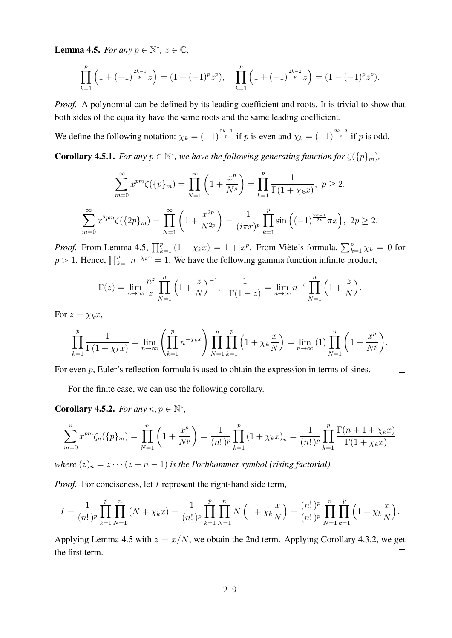**Lemma 4.5.** *For any*  $p \in \mathbb{N}^*$ ,  $z \in \mathbb{C}$ ,

$$
\prod_{k=1}^p \left(1 + (-1)^{\frac{2k-1}{p}} z\right) = (1 + (-1)^p z^p), \quad \prod_{k=1}^p \left(1 + (-1)^{\frac{2k-2}{p}} z\right) = (1 - (-1)^p z^p).
$$

*Proof.* A polynomial can be defined by its leading coefficient and roots. It is trivial to show that both sides of the equality have the same roots and the same leading coefficient.  $\Box$ 

We define the following notation:  $\chi_k = (-1)^{\frac{2k-1}{p}}$  if p is even and  $\chi_k = (-1)^{\frac{2k-2}{p}}$  if p is odd.

**Corollary 4.5.1.** *For any*  $p \in \mathbb{N}^*$ *, we have the following generating function for*  $\zeta({p}_m)$ *,* 

$$
\sum_{m=0}^{\infty} x^{pm} \zeta(\{p\}_m) = \prod_{N=1}^{\infty} \left(1 + \frac{x^p}{N^p}\right) = \prod_{k=1}^p \frac{1}{\Gamma(1 + \chi_k x)}, \ p \ge 2.
$$
  

$$
\sum_{m=0}^{\infty} x^{2pm} \zeta(\{2p\}_m) = \prod_{N=1}^{\infty} \left(1 + \frac{x^{2p}}{N^{2p}}\right) = \frac{1}{(i\pi x)^p} \prod_{k=1}^p \sin\left((-1)^{\frac{2k-1}{2p}} \pi x\right), \ 2p \ge 2.
$$

*Proof.* From Lemma 4.5,  $\prod_{k=1}^{p} (1 + \chi_k x) = 1 + x^p$ . From Viète's formula,  $\sum_{k=1}^{p} \chi_k = 0$  for  $p > 1$ . Hence,  $\prod_{k=1}^{p} n^{-\chi_k x} = 1$ . We have the following gamma function infinite product,

$$
\Gamma(z) = \lim_{n \to \infty} \frac{n^z}{z} \prod_{N=1}^n \left(1 + \frac{z}{N}\right)^{-1}, \quad \frac{1}{\Gamma(1+z)} = \lim_{n \to \infty} n^{-z} \prod_{N=1}^n \left(1 + \frac{z}{N}\right).
$$

For  $z = \chi_k x$ ,

$$
\prod_{k=1}^{p} \frac{1}{\Gamma(1 + \chi_k x)} = \lim_{n \to \infty} \left( \prod_{k=1}^{p} n^{-\chi_k x} \right) \prod_{N=1}^{n} \prod_{k=1}^{p} \left( 1 + \chi_k \frac{x}{N} \right) = \lim_{n \to \infty} (1) \prod_{N=1}^{n} \left( 1 + \frac{x^p}{N^p} \right).
$$

 $\Box$ 

For even p, Euler's reflection formula is used to obtain the expression in terms of sines.

For the finite case, we can use the following corollary.

**Corollary 4.5.2.** For any  $n, p \in \mathbb{N}^*$ ,

$$
\sum_{m=0}^{n} x^{pm} \zeta_n(\{p\}_m) = \prod_{N=1}^{n} \left(1 + \frac{x^p}{N^p}\right) = \frac{1}{(n!)^p} \prod_{k=1}^{p} \left(1 + \chi_k x\right)_n = \frac{1}{(n!)^p} \prod_{k=1}^{p} \frac{\Gamma(n+1+\chi_k x)}{\Gamma(1+\chi_k x)}
$$

*where*  $(z)_n = z \cdots (z + n - 1)$  *is the Pochhammer symbol (rising factorial).* 

*Proof.* For conciseness, let *I* represent the right-hand side term,

$$
I = \frac{1}{(n!)^p} \prod_{k=1}^p \prod_{N=1}^n (N + \chi_k x) = \frac{1}{(n!)^p} \prod_{k=1}^p \prod_{N=1}^n N\left(1 + \chi_k \frac{x}{N}\right) = \frac{(n!)^p}{(n!)^p} \prod_{N=1}^n \prod_{k=1}^p \left(1 + \chi_k \frac{x}{N}\right).
$$

Applying Lemma 4.5 with  $z = x/N$ , we obtain the 2nd term. Applying Corollary 4.3.2, we get the first term.  $\Box$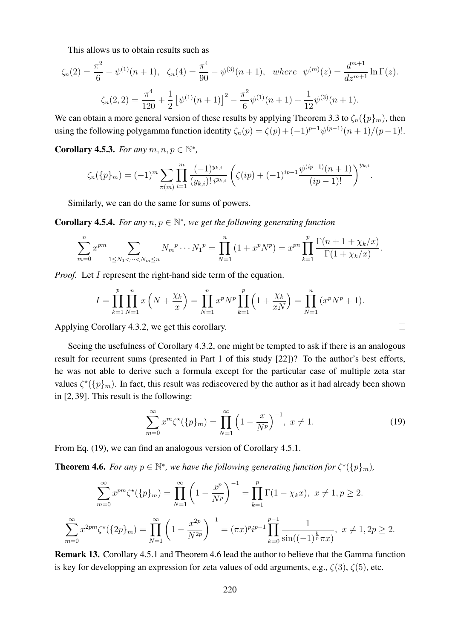This allows us to obtain results such as

$$
\zeta_n(2) = \frac{\pi^2}{6} - \psi^{(1)}(n+1), \quad \zeta_n(4) = \frac{\pi^4}{90} - \psi^{(3)}(n+1), \quad \text{where} \quad \psi^{(m)}(z) = \frac{d^{m+1}}{dz^{m+1}} \ln \Gamma(z).
$$
\n
$$
\zeta_n(2,2) = \frac{\pi^4}{120} + \frac{1}{2} \left[ \psi^{(1)}(n+1) \right]^2 - \frac{\pi^2}{6} \psi^{(1)}(n+1) + \frac{1}{12} \psi^{(3)}(n+1).
$$

We can obtain a more general version of these results by applying Theorem 3.3 to  $\zeta_n({p}_m)$ , then using the following polygamma function identity  $\zeta_n(p) = \zeta(p) + (-1)^{p-1} \psi^{(p-1)}(n+1)/(p-1)!$ .

**Corollary 4.5.3.** For any  $m, n, p \in \mathbb{N}^*$ ,

$$
\zeta_n(\{p\}_m) = (-1)^m \sum_{\pi(m)} \prod_{i=1}^m \frac{(-1)^{y_{k,i}}}{(y_{k,i})! \, i^{y_{k,i}}} \left( \zeta(ip) + (-1)^{ip-1} \frac{\psi^{(ip-1)}(n+1)}{(ip-1)!} \right)^{y_{k,i}}.
$$

Similarly, we can do the same for sums of powers.

**Corollary 4.5.4.** For any  $n, p \in \mathbb{N}^*$ , we get the following generating function

$$
\sum_{m=0}^{n} x^{pm} \sum_{1 \le N_1 < \dots < N_m \le n} N_m^p \dotsm N_1^p = \prod_{N=1}^{n} (1 + x^p N^p) = x^{pn} \prod_{k=1}^{p} \frac{\Gamma(n+1 + \chi_k/x)}{\Gamma(1 + \chi_k/x)}.
$$

*Proof.* Let I represent the right-hand side term of the equation.

$$
I = \prod_{k=1}^{p} \prod_{N=1}^{n} x \left( N + \frac{\chi_k}{x} \right) = \prod_{N=1}^{n} x^p N^p \prod_{k=1}^{p} \left( 1 + \frac{\chi_k}{xN} \right) = \prod_{N=1}^{n} (x^p N^p + 1).
$$

Applying Corollary 4.3.2, we get this corollary.

Seeing the usefulness of Corollary 4.3.2, one might be tempted to ask if there is an analogous result for recurrent sums (presented in Part 1 of this study [22])? To the author's best efforts, he was not able to derive such a formula except for the particular case of multiple zeta star values  $\zeta^*(\{p\}_m)$ . In fact, this result was rediscovered by the author as it had already been shown in [2, 39]. This result is the following:

$$
\sum_{m=0}^{\infty} x^m \zeta^{\star}(\{p\}_m) = \prod_{N=1}^{\infty} \left(1 - \frac{x}{N^p}\right)^{-1}, \ x \neq 1.
$$
 (19)

 $\Box$ 

From Eq. (19), we can find an analogous version of Corollary 4.5.1.

**Theorem 4.6.** For any  $p \in \mathbb{N}^*$ , we have the following generating function for  $\zeta^*(\{p\}_m)$ ,

$$
\sum_{m=0}^{\infty} x^{pm} \zeta^{\star}(\{p\}_m) = \prod_{N=1}^{\infty} \left(1 - \frac{x^p}{N^p}\right)^{-1} = \prod_{k=1}^p \Gamma(1 - \chi_k x), \ x \neq 1, p \ge 2.
$$

$$
\sum_{m=0}^{\infty} x^{2pm} \zeta^{\star}(\{2p\}_m) = \prod_{N=1}^{\infty} \left(1 - \frac{x^{2p}}{N^{2p}}\right)^{-1} = (\pi x)^p i^{p-1} \prod_{k=0}^{p-1} \frac{1}{\sin((-1)^{\frac{k}{p}} \pi x)}, \ x \neq 1, 2p \ge 2.
$$

Remark 13. Corollary 4.5.1 and Theorem 4.6 lead the author to believe that the Gamma function is key for developping an expression for zeta values of odd arguments, e.g.,  $\zeta(3)$ ,  $\zeta(5)$ , etc.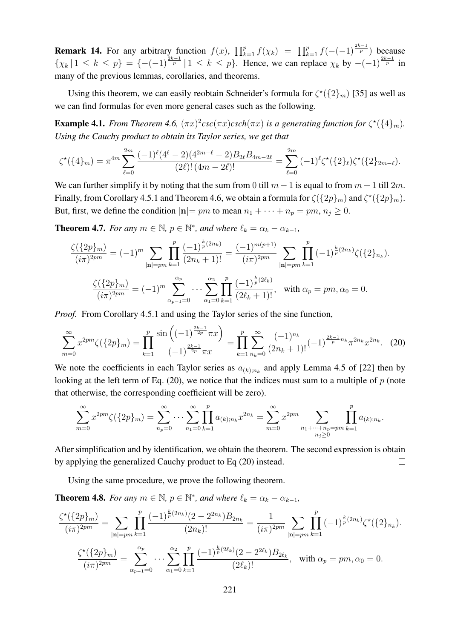**Remark 14.** For any arbitrary function  $f(x)$ ,  $\prod_{k=1}^{p} f(\chi_k) = \prod_{k=1}^{p} f(-(1)^{\frac{2k-1}{p}})$  because  $\{\chi_k | 1 \leq k \leq p\} = \{-(-1)^{\frac{2k-1}{p}} | 1 \leq k \leq p\}$ . Hence, we can replace  $\chi_k$  by  $-(-1)^{\frac{2k-1}{p}}$  in many of the previous lemmas, corollaries, and theorems.

Using this theorem, we can easily reobtain Schneider's formula for  $\zeta^*(\{2\}_m)$  [35] as well as we can find formulas for even more general cases such as the following.

**Example 4.1.** From Theorem 4.6,  $(\pi x)^2 csc(\pi x) csch(\pi x)$  is a generating function for  $\zeta^*(\{4\}_m)$ . *Using the Cauchy product to obtain its Taylor series, we get that*

$$
\zeta^{\star}(\{4\}_{m}) = \pi^{4m} \sum_{\ell=0}^{2m} \frac{(-1)^{\ell} (4^{\ell} - 2)(4^{2m-\ell} - 2) B_{2\ell} B_{4m-2\ell}}{(2\ell)! (4m - 2\ell)!} = \sum_{\ell=0}^{2m} (-1)^{\ell} \zeta^{\star}(\{2\}_{\ell}) \zeta^{\star}(\{2\}_{2m-\ell}).
$$

We can further simplify it by noting that the sum from 0 till  $m - 1$  is equal to from  $m + 1$  till  $2m$ . Finally, from Corollary 4.5.1 and Theorem 4.6, we obtain a formula for  $\zeta({2p_m})$  and  $\zeta^*({2p_m})$ . But, first, we define the condition  $|\mathbf{n}| = pm$  to mean  $n_1 + \cdots + n_p = pm$ ,  $n_j \ge 0$ .

**Theorem 4.7.** *For any*  $m \in \mathbb{N}$ ,  $p \in \mathbb{N}^*$ , and where  $\ell_k = \alpha_k - \alpha_{k-1}$ ,

$$
\frac{\zeta(\{2p\}_m)}{(i\pi)^{2pm}} = (-1)^m \sum_{|\mathbf{n}|=pm} \prod_{k=1}^p \frac{(-1)^{\frac{k}{p}(2n_k)}}{(2n_k+1)!} = \frac{(-1)^{m(p+1)}}{(i\pi)^{2pm}} \sum_{|\mathbf{n}|=pm} \prod_{k=1}^p (-1)^{\frac{k}{p}(2n_k)} \zeta(\{2\}_{n_k}).
$$

$$
\frac{\zeta(\{2p\}_m)}{(i\pi)^{2pm}} = (-1)^m \sum_{\alpha_{p-1}=0}^{\alpha_p} \cdots \sum_{\alpha_1=0}^{\alpha_2} \prod_{k=1}^p \frac{(-1)^{\frac{k}{p}(2\ell_k)}}{(2\ell_k+1)!}, \text{ with } \alpha_p = pm, \alpha_0 = 0.
$$

*Proof.* From Corollary 4.5.1 and using the Taylor series of the sine function,

$$
\sum_{m=0}^{\infty} x^{2pm} \zeta(\{2p\}_m) = \prod_{k=1}^p \frac{\sin\left((-1)^{\frac{2k-1}{2p}} \pi x\right)}{(-1)^{\frac{2k-1}{2p}} \pi x} = \prod_{k=1}^p \sum_{n_k=0}^{\infty} \frac{(-1)^{n_k}}{(2n_k+1)!} (-1)^{\frac{2k-1}{p} n_k} \pi^{2n_k} x^{2n_k}.
$$
 (20)

We note the coefficients in each Taylor series as  $a_{(k);n_k}$  and apply Lemma 4.5 of [22] then by looking at the left term of Eq.  $(20)$ , we notice that the indices must sum to a multiple of p (note that otherwise, the corresponding coefficient will be zero).

$$
\sum_{m=0}^{\infty} x^{2pm} \zeta(\{2p\}_m) = \sum_{n_p=0}^{\infty} \cdots \sum_{n_1=0}^{\infty} \prod_{k=1}^p a_{(k);n_k} x^{2n_k} = \sum_{m=0}^{\infty} x^{2pm} \sum_{\substack{n_1+\cdots+n_p=pm \ k=1}}^p \prod_{k=1}^p a_{(k);n_k}.
$$

After simplification and by identification, we obtain the theorem. The second expression is obtain by applying the generalized Cauchy product to Eq (20) instead.  $\Box$ 

Using the same procedure, we prove the following theorem.

**Theorem 4.8.** *For any*  $m \in \mathbb{N}$ ,  $p \in \mathbb{N}^*$ , and where  $\ell_k = \alpha_k - \alpha_{k-1}$ ,

$$
\frac{\zeta^{\star}(\{2p\}_m)}{(i\pi)^{2pm}} = \sum_{|\mathbf{n}|=pm} \prod_{k=1}^p \frac{(-1)^{\frac{k}{p}(2n_k)}(2-2^{2n_k})B_{2n_k}}{(2n_k)!} = \frac{1}{(i\pi)^{2pm}} \sum_{|\mathbf{n}|=pm} \prod_{k=1}^p (-1)^{\frac{k}{p}(2n_k)} \zeta^{\star}(\{2\}_{n_k}).
$$
  

$$
\frac{\zeta^{\star}(\{2p\}_m)}{(i\pi)^{2pm}} = \sum_{\alpha_{p-1}=0}^{\alpha_p} \cdots \sum_{\alpha_1=0}^{\alpha_2} \prod_{k=1}^p \frac{(-1)^{\frac{k}{p}(2\ell_k)}(2-2^{2\ell_k})B_{2\ell_k}}{(2\ell_k)!}, \text{ with } \alpha_p = pm, \alpha_0 = 0.
$$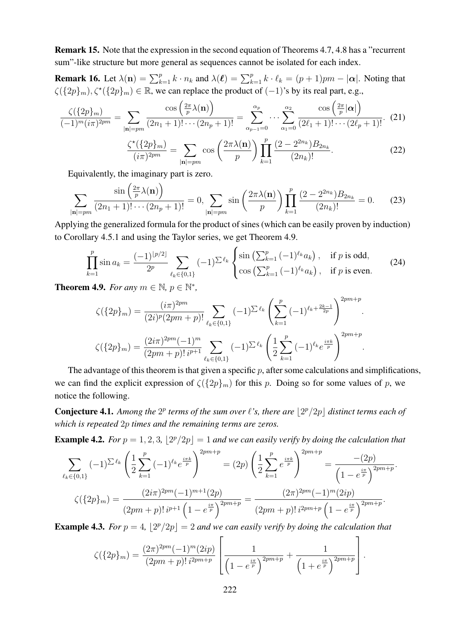Remark 15. Note that the expression in the second equation of Theorems 4.7, 4.8 has a "recurrent sum"-like structure but more general as sequences cannot be isolated for each index.

**Remark 16.** Let  $\lambda(\mathbf{n}) = \sum_{k=1}^{p} k \cdot n_k$  and  $\lambda(\ell) = \sum_{k=1}^{p} k \cdot \ell_k = (p+1)pm - |\alpha|$ . Noting that  $\zeta({2p}_m), \zeta^*({2p}_m) \in \mathbb{R}$ , we can replace the product of  $(-1)$ 's by its real part, e.g.,

$$
\frac{\zeta(\{2p\}_m)}{(-1)^m(i\pi)^{2pm}} = \sum_{|\mathbf{n}|=pm} \frac{\cos\left(\frac{2\pi}{p}\lambda(\mathbf{n})\right)}{(2n_1+1)!\cdots(2n_p+1)!} = \sum_{\alpha_{p-1}=0}^{\alpha_p} \cdots \sum_{\alpha_1=0}^{\alpha_2} \frac{\cos\left(\frac{2\pi}{p}|\alpha|\right)}{(2\ell_1+1)!\cdots(2\ell_p+1)!}.
$$
 (21)

$$
\frac{\zeta^{\star}(\{2p\}_m)}{(i\pi)^{2pm}} = \sum_{|\mathbf{n}|=pm} \cos\left(\frac{2\pi\lambda(\mathbf{n})}{p}\right) \prod_{k=1}^p \frac{(2-2^{2n_k})B_{2n_k}}{(2n_k)!}.
$$
 (22)

Equivalently, the imaginary part is zero.

$$
\sum_{|\mathbf{n}|=pm} \frac{\sin\left(\frac{2\pi}{p}\lambda(\mathbf{n})\right)}{(2n_1+1)!\cdots(2n_p+1)!} = 0, \sum_{|\mathbf{n}|=pm} \sin\left(\frac{2\pi\lambda(\mathbf{n})}{p}\right) \prod_{k=1}^p \frac{(2-2^{2n_k})B_{2n_k}}{(2n_k)!} = 0. \tag{23}
$$

Applying the generalized formula for the product of sines (which can be easily proven by induction) to Corollary 4.5.1 and using the Taylor series, we get Theorem 4.9.

$$
\prod_{k=1}^{p} \sin a_k = \frac{(-1)^{\lfloor p/2 \rfloor}}{2^p} \sum_{\ell_k \in \{0,1\}} (-1)^{\sum \ell_k} \begin{cases} \sin \left( \sum_{k=1}^p (-1)^{\ell_k} a_k \right), & \text{if } p \text{ is odd,} \\ \cos \left( \sum_{k=1}^p (-1)^{\ell_k} a_k \right), & \text{if } p \text{ is even.} \end{cases}
$$
(24)

**Theorem 4.9.** *For any*  $m \in \mathbb{N}$ ,  $p \in \mathbb{N}^*$ ,

$$
\zeta(\{2p\}_m) = \frac{(i\pi)^{2pm}}{(2i)^p(2pm+p)!} \sum_{\ell_k \in \{0,1\}} (-1)^{\sum \ell_k} \left(\sum_{k=1}^p (-1)^{\ell_k + \frac{2k-1}{2p}}\right)^{2pm+p}.
$$
  

$$
\zeta(\{2p\}_m) = \frac{(2i\pi)^{2pm}(-1)^m}{(2pm+p)!i^{p+1}} \sum_{\ell_k \in \{0,1\}} (-1)^{\sum \ell_k} \left(\frac{1}{2}\sum_{k=1}^p (-1)^{\ell_k} e^{\frac{i\pi k}{p}}\right)^{2pm+p}.
$$

The advantage of this theorem is that given a specific  $p$ , after some calculations and simplifications, we can find the explicit expression of  $\zeta({2p}_m)$  for this p. Doing so for some values of p, we notice the following.

**Conjecture 4.1.** Among the  $2^p$  terms of the sum over  $\ell$ 's, there are  $\lfloor 2^p/2p \rfloor$  distinct terms each of *which is repeated* 2p *times and the remaining terms are zeros.*

**Example 4.2.** For  $p = 1, 2, 3$ ,  $\lfloor 2^p/2p \rfloor = 1$  and we can easily verify by doing the calculation that

$$
\sum_{\ell_k \in \{0,1\}} (-1)^{\sum \ell_k} \left( \frac{1}{2} \sum_{k=1}^p (-1)^{\ell_k} e^{\frac{i\pi k}{p}} \right)^{2pm+p} = (2p) \left( \frac{1}{2} \sum_{k=1}^p e^{\frac{i\pi k}{p}} \right)^{2pm+p} = \frac{-(2p)}{\left(1 - e^{\frac{i\pi}{p}}\right)^{2pm+p}}.
$$

$$
\zeta(\{2p\}_m) = \frac{(2i\pi)^{2pm}(-1)^{m+1}(2p)}{(2pm+p)!i^{p+1}\left(1 - e^{\frac{i\pi}{p}}\right)^{2pm+p}} = \frac{(2\pi)^{2pm}(-1)^m(2ip)}{(2pm+p)!i^{2pm+p}}.
$$

**Example 4.3.** For  $p = 4$ ,  $\lfloor 2^p/2p \rfloor = 2$  and we can easily verify by doing the calculation that

$$
\zeta(\{2p\}_m) = \frac{(2\pi)^{2pm}(-1)^m(2ip)}{(2pm+p)!\,i^{2pm+p}} \left[ \frac{1}{\left(1-e^{\frac{i\pi}{p}}\right)^{2pm+p}} + \frac{1}{\left(1+e^{\frac{i\pi}{p}}\right)^{2pm+p}} \right].
$$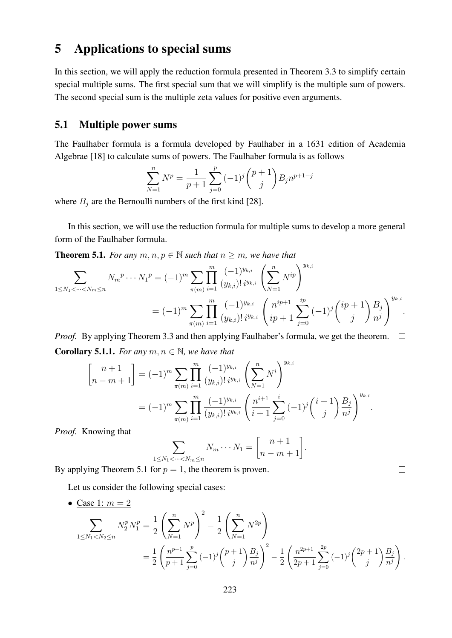## 5 Applications to special sums

In this section, we will apply the reduction formula presented in Theorem 3.3 to simplify certain special multiple sums. The first special sum that we will simplify is the multiple sum of powers. The second special sum is the multiple zeta values for positive even arguments.

### 5.1 Multiple power sums

The Faulhaber formula is a formula developed by Faulhaber in a 1631 edition of Academia Algebrae [18] to calculate sums of powers. The Faulhaber formula is as follows

$$
\sum_{N=1}^{n} N^{p} = \frac{1}{p+1} \sum_{j=0}^{p} (-1)^{j} {p+1 \choose j} B_{j} n^{p+1-j}
$$

where  $B_j$  are the Bernoulli numbers of the first kind [28].

In this section, we will use the reduction formula for multiple sums to develop a more general form of the Faulhaber formula.

**Theorem 5.1.** *For any*  $m, n, p \in \mathbb{N}$  *such that*  $n \geq m$ *, we have that* 

$$
\sum_{1 \le N_1 < \dots < N_m \le n} N_m^p \dotsm N_1^p = (-1)^m \sum_{\pi(m)} \prod_{i=1}^m \frac{(-1)^{y_{k,i}}}{(y_{k,i})! i^{y_{k,i}}} \left( \sum_{N=1}^n N^{ip} \right)^{y_{k,i}} \\
= (-1)^m \sum_{\pi(m)} \prod_{i=1}^m \frac{(-1)^{y_{k,i}}}{(y_{k,i})! i^{y_{k,i}}} \left( \frac{n^{ip+1}}{ip+1} \sum_{j=0}^{ip} (-1)^j \binom{ip+1}{j} \frac{B_j}{n^j} \right)^{y_{k,i}}.
$$

*Proof.* By applying Theorem 3.3 and then applying Faulhaber's formula, we get the theorem.  $\Box$ **Corollary 5.1.1.** *For any*  $m, n \in \mathbb{N}$ *, we have that* 

$$
\begin{aligned}\n\begin{bmatrix}\nn+1 \\
n-m+1\n\end{bmatrix} &= (-1)^m \sum_{\pi(m)} \prod_{i=1}^m \frac{(-1)^{y_{k,i}}}{(y_{k,i})! i^{y_{k,i}}} \left(\sum_{N=1}^n N^i\right)^{y_{k,i}} \\
&= (-1)^m \sum_{\pi(m)} \prod_{i=1}^m \frac{(-1)^{y_{k,i}}}{(y_{k,i})! i^{y_{k,i}}} \left(\frac{n^{i+1}}{i+1} \sum_{j=0}^i (-1)^j \binom{i+1}{j} \frac{B_j}{n^j}\right)^{y_{k,i}}.\n\end{aligned}
$$

*Proof.* Knowing that

$$
\sum_{1 \leq N_1 < \dots < N_m \leq n} N_m \dotsm N_1 = \begin{bmatrix} n+1 \\ n-m+1 \end{bmatrix}.
$$

By applying Theorem 5.1 for  $p = 1$ , the theorem is proven.

Let us consider the following special cases:

• Case 1:  $m = 2$ 

$$
\sum_{1 \le N_1 < N_2 \le n} N_2^p N_1^p = \frac{1}{2} \left( \sum_{N=1}^n N^p \right)^2 - \frac{1}{2} \left( \sum_{N=1}^n N^{2p} \right)
$$
\n
$$
= \frac{1}{2} \left( \frac{n^{p+1}}{p+1} \sum_{j=0}^p (-1)^j {p+1 \choose j} \frac{B_j}{n^j} \right)^2 - \frac{1}{2} \left( \frac{n^{2p+1}}{2p+1} \sum_{j=0}^{2p} (-1)^j {2p+1 \choose j} \frac{B_j}{n^j} \right)
$$

.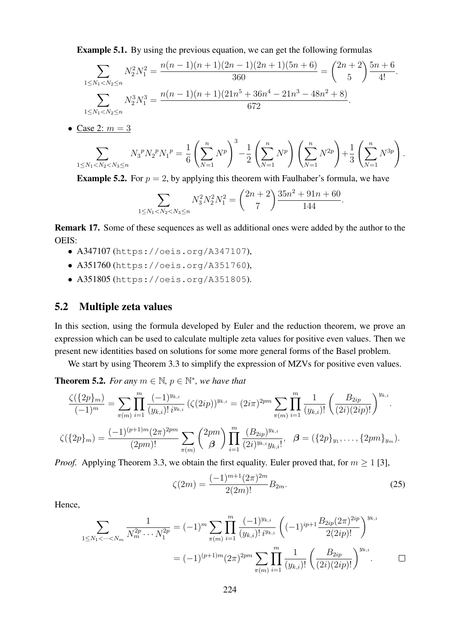Example 5.1. By using the previous equation, we can get the following formulas

$$
\sum_{1 \le N_1 < N_2 \le n} N_2^2 N_1^2 = \frac{n(n-1)(n+1)(2n-1)(2n+1)(5n+6)}{360} = \binom{2n+2}{5} \frac{5n+6}{4!}.
$$
\n
$$
\sum_{1 \le N_1 < N_2 \le n} N_2^3 N_1^3 = \frac{n(n-1)(n+1)(21n^5 + 36n^4 - 21n^3 - 48n^2 + 8)}{672}.
$$

• Case 2:  $m = 3$ 

$$
\sum_{1 \le N_1 < N_2 < N_3 \le n} N_3^p N_2^p N_1^p = \frac{1}{6} \left( \sum_{N=1}^n N^p \right)^3 - \frac{1}{2} \left( \sum_{N=1}^n N^p \right) \left( \sum_{N=1}^n N^{2p} \right) + \frac{1}{3} \left( \sum_{N=1}^n N^{3p} \right).
$$

**Example 5.2.** For  $p = 2$ , by applying this theorem with Faulhaber's formula, we have

$$
\sum_{1 \le N_1 < N_2 < N_3 \le n} N_3^2 N_2^2 N_1^2 = \binom{2n+2}{7} \frac{35n^2 + 91n + 60}{144}.
$$

Remark 17. Some of these sequences as well as additional ones were added by the author to the OEIS:

- A347107 (https://oeis.org/A347107),
- A351760 (https://oeis.org/A351760),
- A351805 (https://oeis.org/A351805).

### 5.2 Multiple zeta values

In this section, using the formula developed by Euler and the reduction theorem, we prove an expression which can be used to calculate multiple zeta values for positive even values. Then we present new identities based on solutions for some more general forms of the Basel problem.

We start by using Theorem 3.3 to simplify the expression of MZVs for positive even values.

**Theorem 5.2.** For any  $m \in \mathbb{N}$ ,  $p \in \mathbb{N}^*$ , we have that

$$
\frac{\zeta(\{2p\}_m)}{(-1)^m} = \sum_{\pi(m)} \prod_{i=1}^m \frac{(-1)^{y_{k,i}}}{(y_{k,i})! i^{y_{k,i}}} \left(\zeta(2ip)\right)^{y_{k,i}} = (2i\pi)^{2pm} \sum_{\pi(m)} \prod_{i=1}^m \frac{1}{(y_{k,i})!} \left(\frac{B_{2ip}}{(2i)(2ip)!}\right)^{y_{k,i}}.
$$

$$
\zeta(\{2p\}_m) = \frac{(-1)^{(p+1)m}(2\pi)^{2pm}}{(2pm)!} \sum_{\pi(m)} \binom{2pm}{\beta} \prod_{i=1}^m \frac{(B_{2ip})^{y_{k,i}}}{(2i)^{y_{k,i}} y_{k,i}!}, \quad \beta = (\{2p\}_{y_1}, \dots, \{2pm\}_{y_m}).
$$

*Proof.* Applying Theorem 3.3, we obtain the first equality. Euler proved that, for  $m \ge 1$  [3],

$$
\zeta(2m) = \frac{(-1)^{m+1}(2\pi)^{2m}}{2(2m)!} B_{2m}.
$$
\n(25)

Hence,

$$
\sum_{1 \le N_1 < \dots < N_m} \frac{1}{N_m^{2p} \dots N_1^{2p}} = (-1)^m \sum_{\pi(m)} \prod_{i=1}^m \frac{(-1)^{y_{k,i}}}{(y_{k,i})! \, i^{y_{k,i}}} \left( (-1)^{ip+1} \frac{B_{2ip} (2\pi)^{2ip}}{2(2ip)!} \right)^{y_{k,i}} \\
= (-1)^{(p+1)m} (2\pi)^{2pm} \sum_{\pi(m)} \prod_{i=1}^m \frac{1}{(y_{k,i})!} \left( \frac{B_{2ip}}{(2i)(2ip)!} \right)^{y_{k,i}}.\n\qquad \Box
$$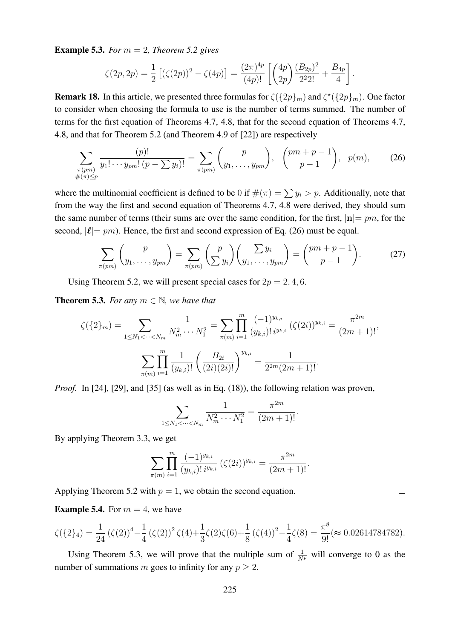**Example 5.3.** *For*  $m = 2$ *, Theorem 5.2 gives* 

$$
\zeta(2p,2p) = \frac{1}{2} \left[ (\zeta(2p))^2 - \zeta(4p) \right] = \frac{(2\pi)^{4p}}{(4p)!} \left[ \binom{4p}{2p} \frac{(B_{2p})^2}{2^2 2!} + \frac{B_{4p}}{4} \right].
$$

**Remark 18.** In this article, we presented three formulas for  $\zeta({2p_m})$  and  $\zeta^*({2p_m})$ . One factor to consider when choosing the formula to use is the number of terms summed. The number of terms for the first equation of Theorems 4.7, 4.8, that for the second equation of Theorems 4.7, 4.8, and that for Theorem 5.2 (and Theorem 4.9 of [22]) are respectively

$$
\sum_{\substack{\pi (pm) \\ \#(\pi) \le p}} \frac{(p)!}{y_1! \cdots y_{pm}! \, (p - \sum y_i)!} = \sum_{\pi (pm)} {p \choose y_1, \ldots, y_{pm}}, \, {pm+p-1 \choose p-1}, \, p(m), \qquad (26)
$$

where the multinomial coefficient is defined to be 0 if  $\#(\pi) = \sum y_i > p$ . Additionally, note that from the way the first and second equation of Theorems 4.7, 4.8 were derived, they should sum the same number of terms (their sums are over the same condition, for the first,  $|\mathbf{n}| = pm$ , for the second,  $|\ell|= pm$ ). Hence, the first and second expression of Eq. (26) must be equal.

$$
\sum_{\pi (pm)} \binom{p}{y_1, \dots, y_{pm}} = \sum_{\pi (pm)} \binom{p}{\sum y_i} \binom{\sum y_i}{y_1, \dots, y_{pm}} = \binom{pm+p-1}{p-1}.
$$
 (27)

Using Theorem 5.2, we will present special cases for  $2p = 2, 4, 6$ .

**Theorem 5.3.** *For any*  $m \in \mathbb{N}$ *, we have that* 

$$
\zeta(\{2\}_m) = \sum_{1 \le N_1 < \dots < N_m} \frac{1}{N_m^2 \dots N_1^2} = \sum_{\pi(m)} \prod_{i=1}^m \frac{(-1)^{y_{k,i}}}{(y_{k,i})! \, i^{y_{k,i}}} \, (\zeta(2i))^{y_{k,i}} = \frac{\pi^{2m}}{(2m+1)!},
$$
\n
$$
\sum_{\pi(m)} \prod_{i=1}^m \frac{1}{(y_{k,i})!} \left(\frac{B_{2i}}{(2i)(2i)!}\right)^{y_{k,i}} = \frac{1}{2^{2m}(2m+1)!}.
$$

*Proof.* In [24], [29], and [35] (as well as in Eq. (18)), the following relation was proven,

$$
\sum_{1 \leq N_1 < \dots < N_m} \frac{1}{N_m^2 \cdots N_1^2} = \frac{\pi^{2m}}{(2m+1)!}.
$$

By applying Theorem 3.3, we get

$$
\sum_{\pi(m)} \prod_{i=1}^m \frac{(-1)^{y_{k,i}}}{(y_{k,i})! \, i^{y_{k,i}}} \left( \zeta(2i) \right)^{y_{k,i}} = \frac{\pi^{2m}}{(2m+1)!}.
$$

Applying Theorem 5.2 with  $p = 1$ , we obtain the second equation.

**Example 5.4.** For  $m = 4$ , we have

$$
\zeta(\{2\}_4) = \frac{1}{24} (\zeta(2))^4 - \frac{1}{4} (\zeta(2))^2 \zeta(4) + \frac{1}{3} \zeta(2) \zeta(6) + \frac{1}{8} (\zeta(4))^2 - \frac{1}{4} \zeta(8) = \frac{\pi^8}{9!} (\approx 0.02614784782).
$$

Using Theorem 5.3, we will prove that the multiple sum of  $\frac{1}{N^p}$  will converge to 0 as the number of summations m goes to infinity for any  $p \geq 2$ .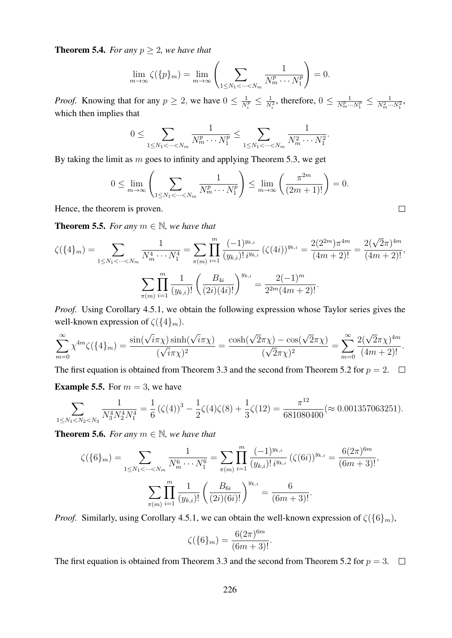**Theorem 5.4.** *For any*  $p \geq 2$ *, we have that* 

$$
\lim_{m \to \infty} \zeta(\{p\}_m) = \lim_{m \to \infty} \left( \sum_{1 \le N_1 < \dots < N_m} \frac{1}{N_m^p \dotsm N_1^p} \right) = 0.
$$

*Proof.* Knowing that for any  $p \geq 2$ , we have  $0 \leq \frac{1}{N}$  $\frac{1}{N_i^p} \leq \frac{1}{N_i^2}$ , therefore,  $0 \leq \frac{1}{N_m^p}$ .  $\frac{1}{N_m^p \cdots N_1^p} \leq \frac{1}{N_m^2 \cdots N_1^2},$ which then implies that

$$
0 \leq \sum_{1 \leq N_1 < \dots < N_m} \frac{1}{N_m^p \dots N_1^p} \leq \sum_{1 \leq N_1 < \dots < N_m} \frac{1}{N_m^2 \dots N_1^2}.
$$

By taking the limit as  $m$  goes to infinity and applying Theorem 5.3, we get

$$
0 \le \lim_{m \to \infty} \left( \sum_{1 \le N_1 < \dots < N_m} \frac{1}{N_m^p \dots N_1^p} \right) \le \lim_{m \to \infty} \left( \frac{\pi^{2m}}{(2m+1)!} \right) = 0.
$$

 $\Box$ 

Hence, the theorem is proven.

**Theorem 5.5.** *For any*  $m \in \mathbb{N}$ *, we have that* 

$$
\zeta(\{4\}_m) = \sum_{1 \le N_1 < \dots < N_m} \frac{1}{N_m^4 \dots N_1^4} = \sum_{\pi(m)} \prod_{i=1}^m \frac{(-1)^{y_{k,i}}}{(y_{k,i})! i^{y_{k,i}}} \left( \zeta(4i) \right)^{y_{k,i}} = \frac{2(2^{2m})\pi^{4m}}{(4m+2)!} = \frac{2(\sqrt{2}\pi)^{4m}}{(4m+2)!},
$$
\n
$$
\sum_{\pi(m)} \prod_{i=1}^m \frac{1}{(y_{k,i})!} \left( \frac{B_{4i}}{(2i)(4i)!} \right)^{y_{k,i}} = \frac{2(-1)^m}{2^{2m}(4m+2)!}.
$$

*Proof.* Using Corollary 4.5.1, we obtain the following expression whose Taylor series gives the well-known expression of  $\zeta({4m}m)$ .

$$
\sum_{m=0}^{\infty} \chi^{4m} \zeta(\{4\}_m) = \frac{\sin(\sqrt{i}\pi \chi) \sinh(\sqrt{i}\pi \chi)}{(\sqrt{i}\pi \chi)^2} = \frac{\cosh(\sqrt{2}\pi \chi) - \cos(\sqrt{2}\pi \chi)}{(\sqrt{2}\pi \chi)^2} = \sum_{m=0}^{\infty} \frac{2(\sqrt{2}\pi \chi)^{4m}}{(4m+2)!}.
$$

The first equation is obtained from Theorem 3.3 and the second from Theorem 5.2 for  $p = 2$ .  $\Box$ **Example 5.5.** For  $m = 3$ , we have

$$
\sum_{1 \leq N_1 < N_2 < N_3} \frac{1}{N_3^4 N_2^4 N_1^4} = \frac{1}{6} \left( \zeta(4) \right)^3 - \frac{1}{2} \zeta(4) \zeta(8) + \frac{1}{3} \zeta(12) = \frac{\pi^{12}}{681080400} (\approx 0.001357063251).
$$

**Theorem 5.6.** *For any*  $m \in \mathbb{N}$ *, we have that* 

$$
\zeta(\{6\}_m) = \sum_{1 \le N_1 < \dots < N_m} \frac{1}{N_m^6 \dots N_1^6} = \sum_{\pi(m)} \prod_{i=1}^m \frac{(-1)^{y_{k,i}}}{(y_{k,i})! \, i^{y_{k,i}}} \, (\zeta(6i))^{y_{k,i}} = \frac{6(2\pi)^{6m}}{(6m+3)!},
$$
\n
$$
\sum_{\pi(m)} \prod_{i=1}^m \frac{1}{(y_{k,i})!} \left(\frac{B_{6i}}{(2i)(6i)!}\right)^{y_{k,i}} = \frac{6}{(6m+3)!}.
$$

*Proof.* Similarly, using Corollary 4.5.1, we can obtain the well-known expression of  $\zeta(\{6\}_m)$ ,

$$
\zeta(\{6\}_m) = \frac{6(2\pi)^{6m}}{(6m+3)!}.
$$

The first equation is obtained from Theorem 3.3 and the second from Theorem 5.2 for  $p = 3$ .  $\Box$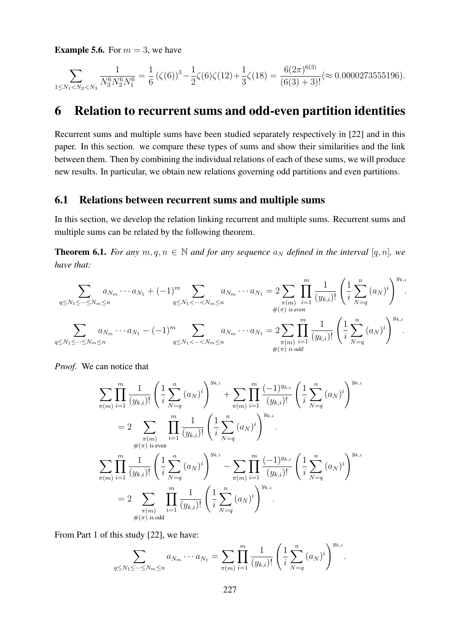**Example 5.6.** For  $m = 3$ , we have

$$
\sum_{1 \leq N_1 < N_2 < N_3} \frac{1}{N_3^6 N_2^6 N_1^6} = \frac{1}{6} \left( \zeta(6) \right)^3 - \frac{1}{2} \zeta(6) \zeta(12) + \frac{1}{3} \zeta(18) = \frac{6(2\pi)^{6(3)}}{(6(3) + 3)!} \left( \approx 0.0000273555196 \right).
$$

### 6 Relation to recurrent sums and odd-even partition identities

Recurrent sums and multiple sums have been studied separately respectively in [22] and in this paper. In this section. we compare these types of sums and show their similarities and the link between them. Then by combining the individual relations of each of these sums, we will produce new results. In particular, we obtain new relations governing odd partitions and even partitions.

### 6.1 Relations between recurrent sums and multiple sums

In this section, we develop the relation linking recurrent and multiple sums. Recurrent sums and multiple sums can be related by the following theorem.

**Theorem 6.1.** *For any*  $m, q, n \in \mathbb{N}$  *and for any sequence*  $a_N$  *defined in the interval* [q, n], we *have that:*

$$
\sum_{q \le N_1 \le \dots \le N_m \le n} a_{N_m} \dots a_{N_1} + (-1)^m \sum_{q \le N_1 < \dots < N_m \le n} a_{N_m} \dots a_{N_1} = 2 \sum_{\substack{\pi(m) \\ \#(\pi) \text{ is even}}} \prod_{i=1}^m \frac{1}{(y_{k,i})!} \left( \frac{1}{i} \sum_{N=q}^n (a_N)^i \right)^{y_{k,i}}.
$$
\n
$$
\sum_{q \le N_1 \le \dots \le N_m \le n} a_{N_m} \dots a_{N_1} - (-1)^m \sum_{q \le N_1 < \dots < N_m \le n} a_{N_m} \dots a_{N_1} = 2 \sum_{\substack{\pi(m) \\ \pi(m) \\ \#(\pi) \text{ is odd}}} \prod_{i=1}^m \frac{1}{(y_{k,i})!} \left( \frac{1}{i} \sum_{N=q}^n (a_N)^i \right)^{y_{k,i}}.
$$

*Proof.* We can notice that

$$
\sum_{\pi(m)} \prod_{i=1}^{m} \frac{1}{(y_{k,i})!} \left( \frac{1}{i} \sum_{N=q}^{n} (a_N)^i \right)^{y_{k,i}} + \sum_{\pi(m)} \prod_{i=1}^{m} \frac{(-1)^{y_{k,i}}}{(y_{k,i})!} \left( \frac{1}{i} \sum_{N=q}^{n} (a_N)^i \right)^{y_{k,i}} \n= 2 \sum_{\pi(m)} \prod_{i=1}^{m} \frac{1}{(y_{k,i})!} \left( \frac{1}{i} \sum_{N=q}^{n} (a_N)^i \right)^{y_{k,i}} \n\sum_{\pi(m)} \prod_{i=1}^{m} \frac{1}{(y_{k,i})!} \left( \frac{1}{i} \sum_{N=q}^{n} (a_N)^i \right)^{y_{k,i}} - \sum_{\pi(m)} \prod_{i=1}^{m} \frac{(-1)^{y_{k,i}}}{(y_{k,i})!} \left( \frac{1}{i} \sum_{N=q}^{n} (a_N)^i \right)^{y_{k,i}} \n= 2 \sum_{\pi(m)} \prod_{i=1}^{m} \frac{1}{(y_{k,i})!} \left( \frac{1}{i} \sum_{N=q}^{n} (a_N)^i \right)^{y_{k,i}} \n\#(\pi) \text{ is odd}
$$

From Part 1 of this study [22], we have:

$$
\sum_{q \le N_1 \le \dots \le N_m \le n} a_{N_m} \dots a_{N_1} = \sum_{\pi(m)} \prod_{i=1}^m \frac{1}{(y_{k,i})!} \left( \frac{1}{i} \sum_{N=q}^n (a_N)^i \right)^{y_{k,i}}.
$$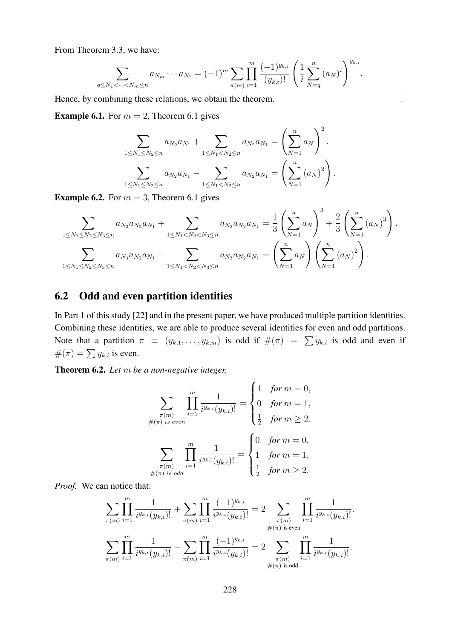From Theorem 3.3, we have:

$$
\sum_{q \leq N_1 < \dots < N_m \leq n} a_{N_m} \dots a_{N_1} = (-1)^m \sum_{\pi(m)} \prod_{i=1}^m \frac{(-1)^{y_{k,i}}}{(y_{k,i})!} \left( \frac{1}{i} \sum_{N=q}^n (a_N)^i \right)^{y_{k,i}}.
$$

Hence, by combining these relations, we obtain the theorem.

**Example 6.1.** For  $m = 2$ , Theorem 6.1 gives

$$
\sum_{1 \leq N_1 \leq N_2 \leq n} a_{N_2} a_{N_1} + \sum_{1 \leq N_1 < N_2 \leq n} a_{N_2} a_{N_1} = \left(\sum_{N=1}^n a_N\right)^2.
$$
\n
$$
\sum_{1 \leq N_1 \leq N_2 \leq n} a_{N_2} a_{N_1} - \sum_{1 \leq N_1 < N_2 \leq n} a_{N_2} a_{N_1} = \left(\sum_{N=1}^n (a_N)^2\right).
$$

**Example 6.2.** For  $m = 3$ , Theorem 6.1 gives

$$
\sum_{1 \leq N_1 \leq N_2 \leq N_3 \leq n} a_{N_3} a_{N_2} a_{N_1} + \sum_{1 \leq N_1 < N_2 < N_3 \leq n} a_{N_3} a_{N_2} a_{N_1} = \frac{1}{3} \left( \sum_{N=1}^n a_N \right)^3 + \frac{2}{3} \left( \sum_{N=1}^n (a_N)^3 \right).
$$
\n
$$
\sum_{1 \leq N_1 \leq N_2 \leq N_3 \leq n} a_{N_3} a_{N_2} a_{N_1} - \sum_{1 \leq N_1 < N_2 < N_3 \leq n} a_{N_3} a_{N_2} a_{N_1} = \left( \sum_{N=1}^n a_N \right) \left( \sum_{N=1}^n (a_N)^2 \right).
$$

### 6.2 Odd and even partition identities

In Part 1 of this study [22] and in the present paper, we have produced multiple partition identities. Combining these identities, we are able to produce several identities for even and odd partitions. Note that a partition  $\pi \equiv (y_{k,1}, \ldots, y_{k,m})$  is odd if  $\#(\pi) = \sum y_{k,i}$  is odd and even if  $#(\pi) = \sum y_{k,i}$  is even.

Theorem 6.2. *Let* m *be a non-negative integer,*

$$
\sum_{\substack{\pi(m) \\ \#(\pi) \text{ is even}}} \prod_{i=1}^{m} \frac{1}{i^{y_{k,i}}(y_{k,i})!} = \begin{cases} 1 & \text{for } m = 0, \\ 0 & \text{for } m = 1, \\ \frac{1}{2} & \text{for } m \ge 2. \end{cases}
$$

$$
\sum_{\substack{\pi(m) \\ \#(\pi) \text{ is odd}}} \prod_{i=1}^{m} \frac{1}{i^{y_{k,i}}(y_{k,i})!} = \begin{cases} 0 & \text{for } m = 0, \\ 1 & \text{for } m = 1, \\ \frac{1}{2} & \text{for } m \ge 2. \end{cases}
$$

*Proof.* We can notice that:

$$
\sum_{\pi(m)} \prod_{i=1}^m \frac{1}{i^{y_{k,i}}(y_{k,i})!} + \sum_{\pi(m)} \prod_{i=1}^m \frac{(-1)^{y_{k,i}}}{i^{y_{k,i}}(y_{k,i})!} = 2 \sum_{\substack{\pi(m) \\ \#(\pi) \text{ is even}}} \prod_{i=1}^m \frac{1}{i^{y_{k,i}}(y_{k,i})!}.
$$

$$
\sum_{\pi(m)} \prod_{i=1}^m \frac{1}{i^{y_{k,i}}(y_{k,i})!} - \sum_{\pi(m)} \prod_{i=1}^m \frac{(-1)^{y_{k,i}}}{i^{y_{k,i}}(y_{k,i})!} = 2 \sum_{\substack{\pi(m) \\ \#(\pi) \text{ is odd}}} \prod_{i=1}^m \frac{1}{i^{y_{k,i}}(y_{k,i})!}.
$$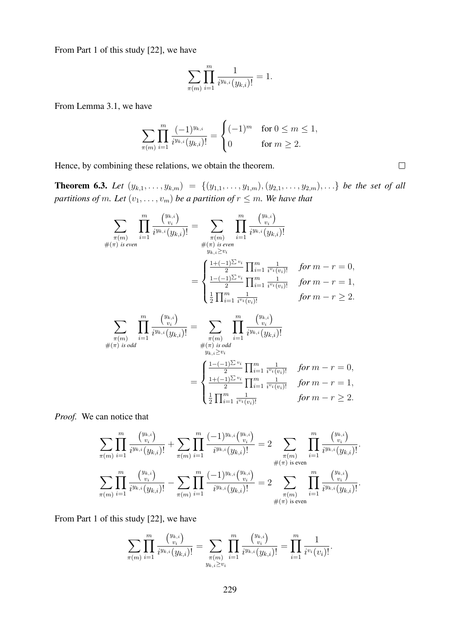From Part 1 of this study [22], we have

$$
\sum_{\pi(m)} \prod_{i=1}^m \frac{1}{i^{y_{k,i}}(y_{k,i})!} = 1.
$$

From Lemma 3.1, we have

$$
\sum_{\pi(m)} \prod_{i=1}^m \frac{(-1)^{y_{k,i}}}{i^{y_{k,i}}(y_{k,i})!} = \begin{cases} (-1)^m & \text{for } 0 \le m \le 1, \\ 0 & \text{for } m \ge 2. \end{cases}
$$

Hence, by combining these relations, we obtain the theorem.

**Theorem 6.3.** Let  $(y_{k,1},...,y_{k,m}) = \{(y_{1,1},...,y_{1,m}), (y_{2,1},...,y_{2,m}), ...\}$  be the set of all *partitions of m. Let*  $(v_1, \ldots, v_m)$  *be a partition of*  $r \leq m$ *. We have that* 

$$
\sum_{\substack{\pi(m) \\ \#\left(\pi\right) \text{ is even}}} \prod_{i=1}^{m} \frac{\binom{y_{k,i}}{v_i}}{i^{y_{k,i}}(y_{k,i})!} = \sum_{\substack{\pi(m) \\ \#\left(\pi\right) \text{ is even}}} \prod_{i=1}^{m} \frac{\binom{y_{k,i}}{v_i}}{i^{y_{k,i}}(y_{k,i})!}
$$
\n
$$
= \begin{cases}\n\frac{1+(-1)^{\sum v_i}}{2} \prod_{i=1}^{m} \frac{1}{i^{v_i}(v_i)!} & \text{for } m-r=0, \\
\frac{1-(-1)^{\sum v_i}}{2} \prod_{i=1}^{m} \frac{1}{i^{v_i}(v_i)!} & \text{for } m-r=1, \\
\frac{1}{2} \prod_{i=1}^{m} \frac{1}{i^{v_i}(v_i)!} & \text{for } m-r \ge 2.\n\end{cases}
$$
\n
$$
\sum_{\substack{\pi(m) \\ \pi(m) \\ \#\left(\pi\right) \text{ is odd}}} \prod_{i=1}^{m} \frac{\binom{y_{k,i}}{v_i}}{i^{y_{k,i}}(y_{k,i})!} = \sum_{\substack{\pi(m) \\ \pi(m) \\ \#\left(\pi\right) \text{ is odd}}} \prod_{i=1}^{m} \frac{\binom{y_{k,i}}{v_i}}{i^{y_{k,i}}(y_{k,i})!}
$$

$$
\lim_{y_{k,i} \geq v_i} \frac{f'(x_{j,i})}{\sum_{i=1}^{n} \sum_{i=1}^{n} \prod_{i=1}^{m} \frac{1}{i^{v_i}(v_i)!}} \quad \text{for } m-r=0,
$$
\n
$$
= \begin{cases}\n\frac{1+(-1)^{\sum v_i}}{2} \prod_{i=1}^{m} \frac{1}{i^{v_i}(v_i)!} & \text{for } m-r=1, \\
\frac{1}{2} \prod_{i=1}^{m} \frac{1}{i^{v_i}(v_i)!} & \text{for } m-r \geq 2.\n\end{cases}
$$

*Proof.* We can notice that

$$
\sum_{\pi(m)} \prod_{i=1}^m \frac{\binom{y_{k,i}}{v_i}}{i^{y_{k,i}}(y_{k,i})!} + \sum_{\pi(m)} \prod_{i=1}^m \frac{(-1)^{y_{k,i}}\binom{y_{k,i}}{v_i}}{i^{y_{k,i}}(y_{k,i})!} = 2 \sum_{\substack{\pi(m) \\ \#(\pi) \text{ is even}}} \prod_{i=1}^m \frac{\binom{y_{k,i}}{v_i}}{i^{y_{k,i}}(y_{k,i})!}.
$$

$$
\sum_{\pi(m)} \prod_{i=1}^m \frac{\binom{y_{k,i}}{v_i}}{i^{y_{k,i}}(y_{k,i})!} - \sum_{\pi(m)} \prod_{i=1}^m \frac{(-1)^{y_{k,i}}\binom{y_{k,i}}{v_i}}{i^{y_{k,i}}(y_{k,i})!} = 2 \sum_{\substack{\pi(m) \\ \pi(m) \\ \#(\pi) \text{ is even}}} \prod_{i=1}^m \frac{\binom{y_{k,i}}{v_i}}{i^{y_{k,i}}(y_{k,i})!}.
$$

From Part 1 of this study [22], we have

$$
\sum_{\pi(m)} \prod_{i=1}^m \frac{\binom{y_{k,i}}{v_i}}{i^{y_{k,i}}(y_{k,i})!} = \sum_{\substack{\pi(m) \\ y_{k,i} \ge v_i}} \prod_{i=1}^m \frac{\binom{y_{k,i}}{v_i}}{i^{y_{k,i}}(y_{k,i})!} = \prod_{i=1}^m \frac{1}{i^{v_i}(v_i)!}.
$$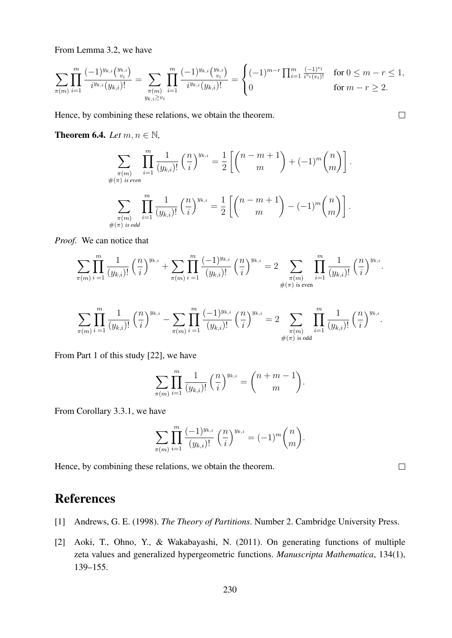From Lemma 3.2, we have

$$
\sum_{\pi(m)} \prod_{i=1}^m \frac{(-1)^{y_{k,i}} \binom{y_{k,i}}{v_i}}{i^{y_{k,i}} (y_{k,i})!} = \sum_{\substack{\pi(m) \\ y_{k,i} \ge v_i}} \prod_{i=1}^m \frac{(-1)^{y_{k,i}} \binom{y_{k,i}}{v_i}}{i^{y_{k,i}} (y_{k,i})!} = \begin{cases} (-1)^{m-r} \prod_{i=1}^m \frac{(-1)^{v_i}}{i^{v_i}(v_i)!} & \text{for } 0 \le m-r \le 1, \\ 0 & \text{for } m-r \ge 2. \end{cases}
$$

Hence, by combining these relations, we obtain the theorem.

**Theorem 6.4.** *Let*  $m, n \in \mathbb{N}$ *,* 

$$
\sum_{\substack{\pi(m) \\ \#\pi(m) \text{ is even}}} \prod_{i=1}^m \frac{1}{(y_{k,i})!} \left(\frac{n}{i}\right)^{y_{k,i}} = \frac{1}{2} \left[ \binom{n-m+1}{m} + (-1)^m \binom{n}{m} \right].
$$
  

$$
\sum_{\substack{\pi(m) \\ \#\pi(m) \text{ is odd}}} \prod_{i=1}^m \frac{1}{(y_{k,i})!} \left(\frac{n}{i}\right)^{y_{k,i}} = \frac{1}{2} \left[ \binom{n-m+1}{m} - (-1)^m \binom{n}{m} \right].
$$

*Proof.* We can notice that

$$
\sum_{\pi(m)} \prod_{i=1}^m \frac{1}{(y_{k,i})!} \left(\frac{n}{i}\right)^{y_{k,i}} + \sum_{\pi(m)} \prod_{i=1}^m \frac{(-1)^{y_{k,i}}}{(y_{k,i})!} \left(\frac{n}{i}\right)^{y_{k,i}} = 2 \sum_{\substack{\pi(m) \\ \#(\pi) \text{ is even}}} \prod_{i=1}^m \frac{1}{(y_{k,i})!} \left(\frac{n}{i}\right)^{y_{k,i}}.
$$

$$
\sum_{\pi(m)} \prod_{i=1}^m \frac{1}{(y_{k,i})!} \left(\frac{n}{i}\right)^{y_{k,i}} - \sum_{\pi(m)} \prod_{i=1}^m \frac{(-1)^{y_{k,i}}}{(y_{k,i})!} \left(\frac{n}{i}\right)^{y_{k,i}} = 2 \sum_{\substack{\pi(m) \\ \#(\pi) \text{ is odd}}} \prod_{i=1}^m \frac{1}{(y_{k,i})!} \left(\frac{n}{i}\right)^{y_{k,i}}.
$$

From Part 1 of this study [22], we have

$$
\sum_{\pi(m)} \prod_{i=1}^m \frac{1}{(y_{k,i})!} \left(\frac{n}{i}\right)^{y_{k,i}} = \binom{n+m-1}{m}.
$$

From Corollary 3.3.1, we have

$$
\sum_{\pi(m)} \prod_{i=1}^m \frac{(-1)^{y_{k,i}}}{(y_{k,i})!} \left(\frac{n}{i}\right)^{y_{k,i}} = (-1)^m \binom{n}{m}.
$$

Hence, by combining these relations, we obtain the theorem.

## **References**

- [1] Andrews, G. E. (1998). *The Theory of Partitions*. Number 2. Cambridge University Press.
- [2] Aoki, T., Ohno, Y., & Wakabayashi, N. (2011). On generating functions of multiple zeta values and generalized hypergeometric functions. *Manuscripta Mathematica*, 134(1), 139–155.

 $\Box$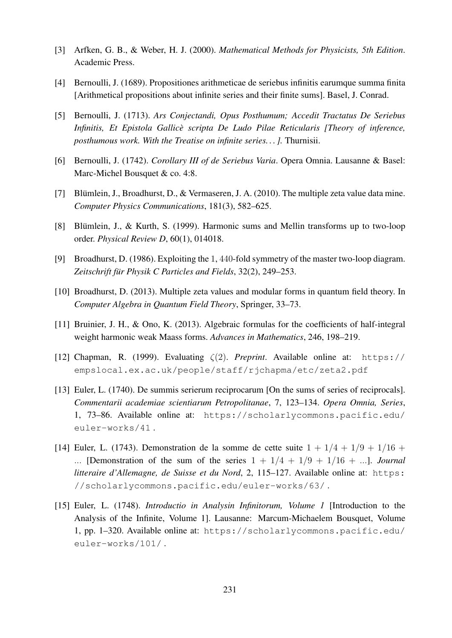- [3] Arfken, G. B., & Weber, H. J. (2000). *Mathematical Methods for Physicists, 5th Edition*. Academic Press.
- [4] Bernoulli, J. (1689). Propositiones arithmeticae de seriebus infinitis earumque summa finita [Arithmetical propositions about infinite series and their finite sums]. Basel, J. Conrad.
- [5] Bernoulli, J. (1713). *Ars Conjectandi, Opus Posthumum; Accedit Tractatus De Seriebus Infinitis, Et Epistola Gallice scripta De Ludo Pilae Reticularis [Theory of inference, ` posthumous work. With the Treatise on infinite series. . . ].* Thurnisii.
- [6] Bernoulli, J. (1742). *Corollary III of de Seriebus Varia*. Opera Omnia. Lausanne & Basel: Marc-Michel Bousquet & co. 4:8.
- [7] Blümlein, J., Broadhurst, D., & Vermaseren, J. A. (2010). The multiple zeta value data mine. *Computer Physics Communications*, 181(3), 582–625.
- [8] Blümlein, J., & Kurth, S. (1999). Harmonic sums and Mellin transforms up to two-loop order. *Physical Review D*, 60(1), 014018.
- [9] Broadhurst, D. (1986). Exploiting the 1, 440-fold symmetry of the master two-loop diagram. Zeitschrift für Physik C Particles and Fields, 32(2), 249–253.
- [10] Broadhurst, D. (2013). Multiple zeta values and modular forms in quantum field theory. In *Computer Algebra in Quantum Field Theory*, Springer, 33–73.
- [11] Bruinier, J. H., & Ono, K. (2013). Algebraic formulas for the coefficients of half-integral weight harmonic weak Maass forms. *Advances in Mathematics*, 246, 198–219.
- [12] Chapman, R. (1999). Evaluating ζ(2). *Preprint*. Available online at: https:// empslocal.ex.ac.uk/people/staff/rjchapma/etc/zeta2.pdf
- [13] Euler, L. (1740). De summis serierum reciprocarum [On the sums of series of reciprocals]. *Commentarii academiae scientiarum Petropolitanae*, 7, 123–134. *Opera Omnia, Series*, 1, 73–86. Available online at: https://scholarlycommons.pacific.edu/ euler-works/41 .
- [14] Euler, L. (1743). Demonstration de la somme de cette suite  $1 + 1/4 + 1/9 + 1/16 +$ ... [Demonstration of the sum of the series  $1 + 1/4 + 1/9 + 1/16 + \ldots$ ]. *Journal litteraire d'Allemagne, de Suisse et du Nord, 2, 115-127. Available online at: https:* //scholarlycommons.pacific.edu/euler-works/63/ .
- [15] Euler, L. (1748). *Introductio in Analysin Infinitorum, Volume 1* [Introduction to the Analysis of the Infinite, Volume 1]. Lausanne: Marcum-Michaelem Bousquet, Volume 1, pp. 1–320. Available online at: https://scholarlycommons.pacific.edu/ euler-works/101/ .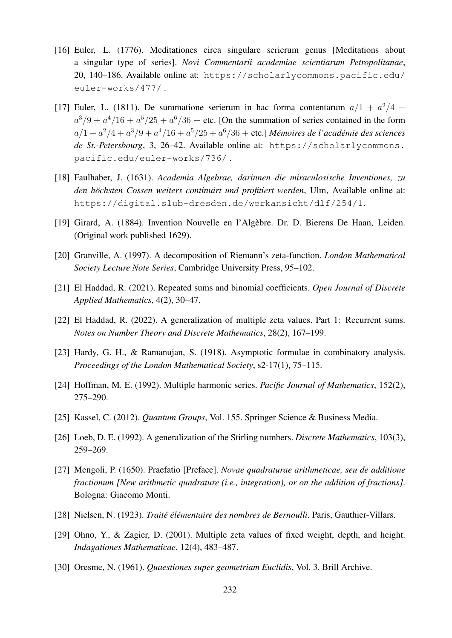- [16] Euler, L. (1776). Meditationes circa singulare serierum genus [Meditations about a singular type of series]. *Novi Commentarii academiae scientiarum Petropolitanae*, 20, 140–186. Available online at: https://scholarlycommons.pacific.edu/ euler-works/477/ .
- [17] Euler, L. (1811). De summatione serierum in hac forma contentarum  $a/1 + a^2/4 +$  $a^3/9 + a^4/16 + a^5/25 + a^6/36$  + etc. [On the summation of series contained in the form  $a/1+a^2/4+a^3/9+a^4/16+a^5/25+a^6/36+\text{etc.}$ ] Mémoires de l'académie des sciences *de St.-Petersbourg*, 3, 26–42. Available online at: https://scholarlycommons. pacific.edu/euler-works/736/ .
- [18] Faulhaber, J. (1631). *Academia Algebrae, darinnen die miraculosische Inventiones, zu* den höchsten Cossen weiters continuirt und profitiert werden, Ulm, Available online at: https://digital.slub-dresden.de/werkansicht/dlf/254/1.
- [19] Girard, A. (1884). Invention Nouvelle en l'Algebre. Dr. D. Bierens De Haan, Leiden. ` (Original work published 1629).
- [20] Granville, A. (1997). A decomposition of Riemann's zeta-function. *London Mathematical Society Lecture Note Series*, Cambridge University Press, 95–102.
- [21] El Haddad, R. (2021). Repeated sums and binomial coefficients. *Open Journal of Discrete Applied Mathematics*, 4(2), 30–47.
- [22] El Haddad, R. (2022). A generalization of multiple zeta values. Part 1: Recurrent sums. *Notes on Number Theory and Discrete Mathematics*, 28(2), 167–199.
- [23] Hardy, G. H., & Ramanujan, S. (1918). Asymptotic formulae in combinatory analysis. *Proceedings of the London Mathematical Society*, s2-17(1), 75–115.
- [24] Hoffman, M. E. (1992). Multiple harmonic series. *Pacific Journal of Mathematics*, 152(2), 275–290.
- [25] Kassel, C. (2012). *Quantum Groups*, Vol. 155. Springer Science & Business Media.
- [26] Loeb, D. E. (1992). A generalization of the Stirling numbers. *Discrete Mathematics*, 103(3), 259–269.
- [27] Mengoli, P. (1650). Praefatio [Preface]. *Novae quadraturae arithmeticae, seu de additione fractionum [New arithmetic quadrature (i.e., integration), or on the addition of fractions]*. Bologna: Giacomo Monti.
- [28] Nielsen, N. (1923). *Traite´ el´ ementaire des nombres de Bernoulli ´* . Paris, Gauthier-Villars.
- [29] Ohno, Y., & Zagier, D. (2001). Multiple zeta values of fixed weight, depth, and height. *Indagationes Mathematicae*, 12(4), 483–487.
- [30] Oresme, N. (1961). *Quaestiones super geometriam Euclidis*, Vol. 3. Brill Archive.